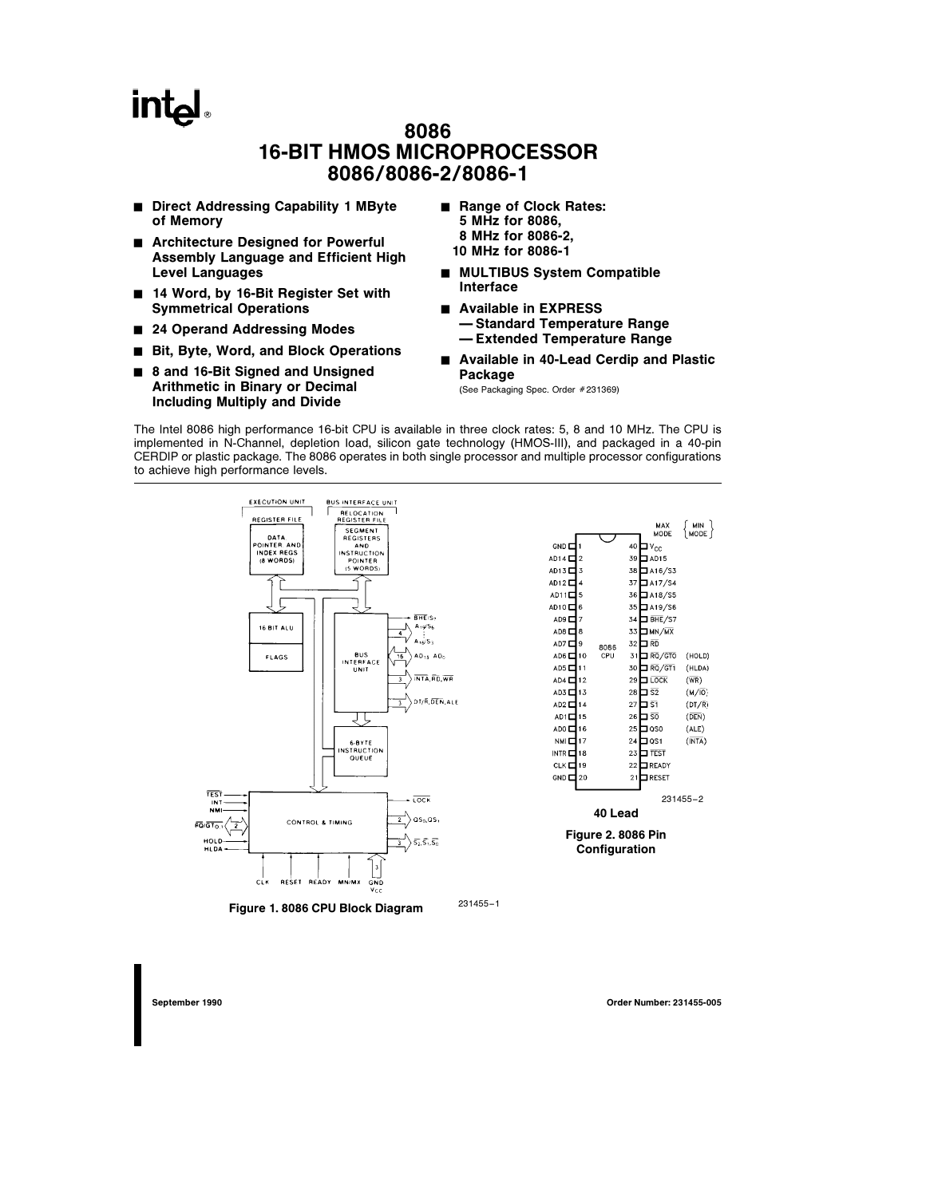## **intal**

### 8086 16-BIT HMOS MICROPROCESSOR 8086/8086-2/8086-1

- Direct Addressing Capability 1 MByte of Memory
- Architecture Designed for Powerful Assembly Language and Efficient High Level Languages
- 14 Word, by 16-Bit Register Set with Symmetrical Operations
- 24 Operand Addressing Modes
- Bit, Byte, Word, and Block Operations
- 8 and 16-Bit Signed and Unsigned Arithmetic in Binary or Decimal Including Multiply and Divide
- Range of Clock Rates: 5 MHz for 8086, 8 MHz for 8086-2, 10 MHz for 8086-1
- **MULTIBUS System Compatible** Interface
- Available in EXPRESS Ð Standard Temperature Range Ð Extended Temperature Range
- Available in 40-Lead Cerdip and Plastic Package

(See Packaging Spec. Order #231369)

The Intel 8086 high performance 16-bit CPU is available in three clock rates: 5, 8 and 10 MHz. The CPU is implemented in N-Channel, depletion load, silicon gate technology (HMOS-III), and packaged in a 40-pin CERDIP or plastic package. The 8086 operates in both single processor and multiple processor configurations to achieve high performance levels.



Figure 1. 8086 CPU Block Diagram 231455-1

September 1990 Order Number: 231455-005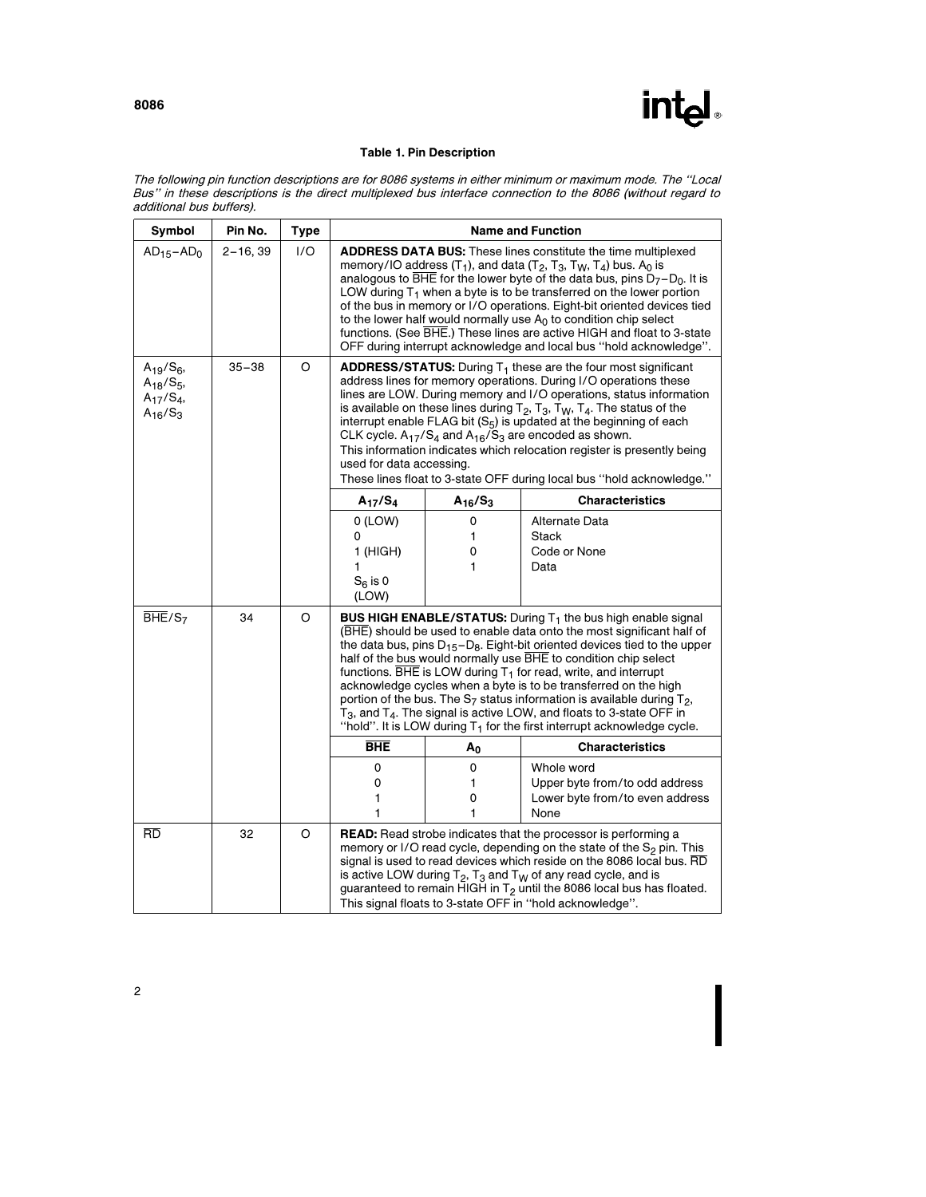

### Table 1. Pin Description

The following pin function descriptions are for 8086 systems in either minimum or maximum mode. The ''Local Bus'' in these descriptions is the direct multiplexed bus interface connection to the 8086 (without regard to additional bus buffers).

| Symbol                                                                     | Pin No.      | <b>Type</b> | <b>Name and Function</b>                                                                                                                                                                                                                                                                                                                                                                                                                                                                                                                                                                                                                                                                                         |                                                                                                                                                                                                                                                                                                                                                                                                                                                                                                                                                                                                                     |                                                                                         |  |
|----------------------------------------------------------------------------|--------------|-------------|------------------------------------------------------------------------------------------------------------------------------------------------------------------------------------------------------------------------------------------------------------------------------------------------------------------------------------------------------------------------------------------------------------------------------------------------------------------------------------------------------------------------------------------------------------------------------------------------------------------------------------------------------------------------------------------------------------------|---------------------------------------------------------------------------------------------------------------------------------------------------------------------------------------------------------------------------------------------------------------------------------------------------------------------------------------------------------------------------------------------------------------------------------------------------------------------------------------------------------------------------------------------------------------------------------------------------------------------|-----------------------------------------------------------------------------------------|--|
| $AD_{15}-AD_0$                                                             | $2 - 16, 39$ | 1/O         | <b>ADDRESS DATA BUS:</b> These lines constitute the time multiplexed<br>memory/IO address $(T_1)$ , and data $(T_2, T_3, T_W, T_4)$ bus. A <sub>0</sub> is<br>analogous to $\overline{BHE}$ for the lower byte of the data bus, pins $D_7 - D_0$ . It is<br>LOW during $T_1$ when a byte is to be transferred on the lower portion<br>of the bus in memory or I/O operations. Eight-bit oriented devices tied<br>to the lower half would normally use $A_0$ to condition chip select<br>functions. (See BHE.) These lines are active HIGH and float to 3-state<br>OFF during interrupt acknowledge and local bus "hold acknowledge".                                                                             |                                                                                                                                                                                                                                                                                                                                                                                                                                                                                                                                                                                                                     |                                                                                         |  |
| $A_{19}/S_6$<br>$A_{18}$ /S <sub>5</sub> ,<br>$A_{17}/S_4$<br>$A_{16}/S_3$ | $35 - 38$    | O           | used for data accessing.                                                                                                                                                                                                                                                                                                                                                                                                                                                                                                                                                                                                                                                                                         | <b>ADDRESS/STATUS:</b> During $T_1$ these are the four most significant<br>address lines for memory operations. During I/O operations these<br>lines are LOW. During memory and I/O operations, status information<br>is available on these lines during $T_2$ , $T_3$ , $T_W$ , $T_4$ . The status of the<br>interrupt enable FLAG bit (S <sub>5</sub> ) is updated at the beginning of each<br>CLK cycle. $A_{17}/S_4$ and $A_{16}/S_3$ are encoded as shown.<br>This information indicates which relocation register is presently being<br>These lines float to 3-state OFF during local bus "hold acknowledge." |                                                                                         |  |
|                                                                            |              |             | $A_{17}/S_4$                                                                                                                                                                                                                                                                                                                                                                                                                                                                                                                                                                                                                                                                                                     | $A_{16}/S_3$                                                                                                                                                                                                                                                                                                                                                                                                                                                                                                                                                                                                        | <b>Characteristics</b>                                                                  |  |
|                                                                            |              |             | $0$ (LOW)<br>0<br>1 (HIGH)<br>1<br>$S_6$ is 0<br>(LOW)                                                                                                                                                                                                                                                                                                                                                                                                                                                                                                                                                                                                                                                           | 0<br>1<br>0<br>1                                                                                                                                                                                                                                                                                                                                                                                                                                                                                                                                                                                                    | <b>Alternate Data</b><br><b>Stack</b><br>Code or None<br>Data                           |  |
| BHE/S <sub>7</sub>                                                         | 34           | O           | <b>BUS HIGH ENABLE/STATUS:</b> During $T_1$ the bus high enable signal<br>(BHE) should be used to enable data onto the most significant half of<br>the data bus, pins $D_{15}$ -D <sub>8</sub> . Eight-bit oriented devices tied to the upper<br>half of the bus would normally use BHE to condition chip select<br>functions. $\overline{BHE}$ is LOW during $T_1$ for read, write, and interrupt<br>acknowledge cycles when a byte is to be transferred on the high<br>portion of the bus. The $S_7$ status information is available during $T_2$ ,<br>$T_3$ , and $T_4$ . The signal is active LOW, and floats to 3-state OFF in<br>"hold". It is LOW during $T_1$ for the first interrupt acknowledge cycle. |                                                                                                                                                                                                                                                                                                                                                                                                                                                                                                                                                                                                                     |                                                                                         |  |
|                                                                            |              |             | <b>BHE</b>                                                                                                                                                                                                                                                                                                                                                                                                                                                                                                                                                                                                                                                                                                       | Αo                                                                                                                                                                                                                                                                                                                                                                                                                                                                                                                                                                                                                  | <b>Characteristics</b>                                                                  |  |
|                                                                            |              |             | 0<br>0<br>1<br>1                                                                                                                                                                                                                                                                                                                                                                                                                                                                                                                                                                                                                                                                                                 | 0<br>1<br>0<br>1                                                                                                                                                                                                                                                                                                                                                                                                                                                                                                                                                                                                    | Whole word<br>Upper byte from/to odd address<br>Lower byte from/to even address<br>None |  |
| <b>RD</b>                                                                  | 32           | O           | <b>READ:</b> Read strobe indicates that the processor is performing a<br>memory or I/O read cycle, depending on the state of the S <sub>2</sub> pin. This<br>signal is used to read devices which reside on the 8086 local bus. RD<br>is active LOW during $T_2$ , $T_3$ and $T_W$ of any read cycle, and is<br>guaranteed to remain HIGH in $T_2$ until the 8086 local bus has floated.<br>This signal floats to 3-state OFF in "hold acknowledge".                                                                                                                                                                                                                                                             |                                                                                                                                                                                                                                                                                                                                                                                                                                                                                                                                                                                                                     |                                                                                         |  |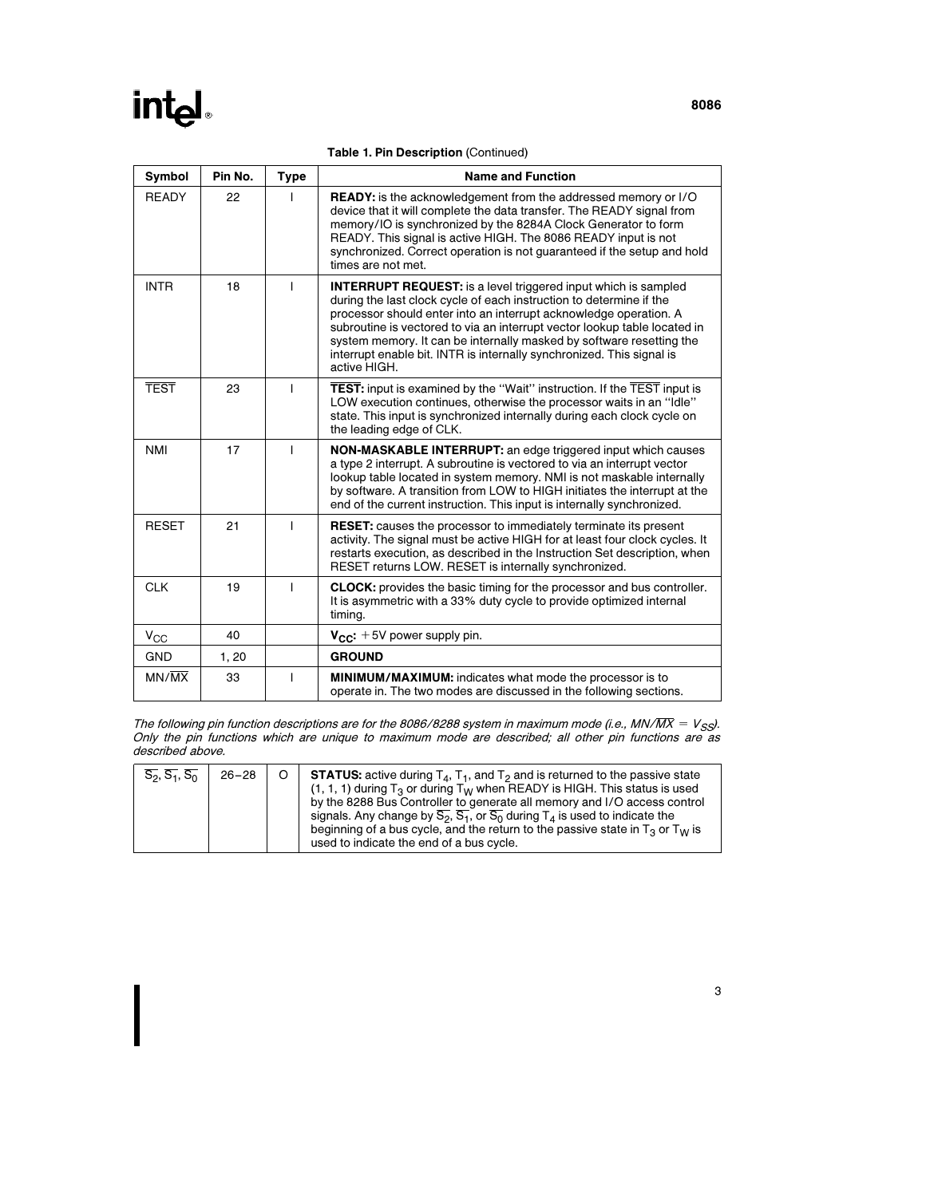|  |  |  | <b>Table 1. Pin Description (Continued)</b> |
|--|--|--|---------------------------------------------|
|--|--|--|---------------------------------------------|

| Symbol             | Pin No. | <b>Type</b> | <b>Name and Function</b>                                                                                                                                                                                                                                                                                                                                                                                                                                        |  |
|--------------------|---------|-------------|-----------------------------------------------------------------------------------------------------------------------------------------------------------------------------------------------------------------------------------------------------------------------------------------------------------------------------------------------------------------------------------------------------------------------------------------------------------------|--|
| <b>READY</b>       | 22      |             | <b>READY:</b> is the acknowledgement from the addressed memory or I/O<br>device that it will complete the data transfer. The READY signal from<br>memory/IO is synchronized by the 8284A Clock Generator to form<br>READY. This signal is active HIGH. The 8086 READY input is not<br>synchronized. Correct operation is not guaranteed if the setup and hold<br>times are not met.                                                                             |  |
| <b>INTR</b>        | 18      |             | <b>INTERRUPT REQUEST:</b> is a level triggered input which is sampled<br>during the last clock cycle of each instruction to determine if the<br>processor should enter into an interrupt acknowledge operation. A<br>subroutine is vectored to via an interrupt vector lookup table located in<br>system memory. It can be internally masked by software resetting the<br>interrupt enable bit. INTR is internally synchronized. This signal is<br>active HIGH. |  |
| <b>TEST</b>        | 23      |             | <b>TEST:</b> input is examined by the "Wait" instruction. If the TEST input is<br>LOW execution continues, otherwise the processor waits in an "Idle"<br>state. This input is synchronized internally during each clock cycle on<br>the leading edge of CLK.                                                                                                                                                                                                    |  |
| <b>NMI</b>         | 17      |             | NON-MASKABLE INTERRUPT: an edge triggered input which causes<br>a type 2 interrupt. A subroutine is vectored to via an interrupt vector<br>lookup table located in system memory. NMI is not maskable internally<br>by software. A transition from LOW to HIGH initiates the interrupt at the<br>end of the current instruction. This input is internally synchronized.                                                                                         |  |
| <b>RESET</b>       | 21      | T           | <b>RESET:</b> causes the processor to immediately terminate its present<br>activity. The signal must be active HIGH for at least four clock cycles. It<br>restarts execution, as described in the Instruction Set description, when<br>RESET returns LOW. RESET is internally synchronized.                                                                                                                                                                     |  |
| <b>CLK</b>         | 19      |             | <b>CLOCK:</b> provides the basic timing for the processor and bus controller.<br>It is asymmetric with a 33% duty cycle to provide optimized internal<br>timing.                                                                                                                                                                                                                                                                                                |  |
| $V_{CC}$           | 40      |             | $V_{CC}$ : +5V power supply pin.                                                                                                                                                                                                                                                                                                                                                                                                                                |  |
| <b>GND</b>         | 1, 20   |             | <b>GROUND</b>                                                                                                                                                                                                                                                                                                                                                                                                                                                   |  |
| $MN/\overline{MX}$ | 33      | T           | <b>MINIMUM/MAXIMUM:</b> indicates what mode the processor is to<br>operate in. The two modes are discussed in the following sections.                                                                                                                                                                                                                                                                                                                           |  |

The following pin function descriptions are for the 8086/8288 system in maximum mode (i.e., MN/ $\overline{MX} = V_{SS}$ ). Only the pin functions which are unique to maximum mode are described; all other pin functions are as described above.

| $\overline{S_2}$ , $\overline{S_1}$ , $\overline{S_0}$ | $26 - 28$ | <b>STATUS:</b> active during $T_4$ , $T_1$ , and $T_2$ and is returned to the passive state<br>$(1, 1, 1)$ during $T_3$ or during $T_W$ when READY is HIGH. This status is used<br>by the 8288 Bus Controller to generate all memory and I/O access control<br>signals. Any change by $\overline{S_2}$ , $\overline{S_1}$ , or $\overline{S_0}$ during $T_4$ is used to indicate the<br>beginning of a bus cycle, and the return to the passive state in $T_3$ or $T_W$ is<br>used to indicate the end of a bus cycle. |
|--------------------------------------------------------|-----------|------------------------------------------------------------------------------------------------------------------------------------------------------------------------------------------------------------------------------------------------------------------------------------------------------------------------------------------------------------------------------------------------------------------------------------------------------------------------------------------------------------------------|
|--------------------------------------------------------|-----------|------------------------------------------------------------------------------------------------------------------------------------------------------------------------------------------------------------------------------------------------------------------------------------------------------------------------------------------------------------------------------------------------------------------------------------------------------------------------------------------------------------------------|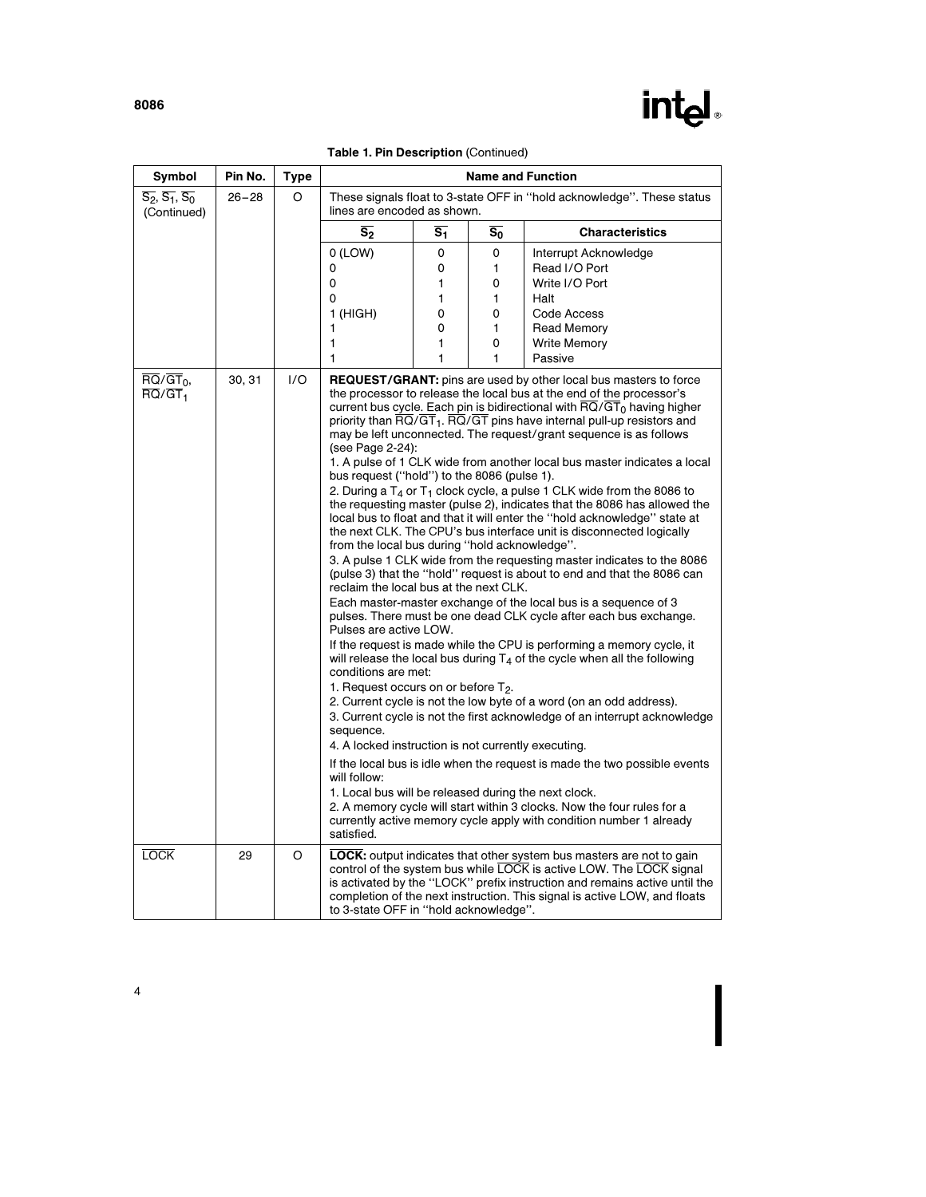

| Symbol                                                                           | Pin No.   | <b>Type</b> | <b>Name and Function</b>                                                                                                                                                                                                                                                                                                                                                                                                                                                                                                                                                                                                                                                                                                                                                                                                                                                                                                                                                                                                                                                                                                                                                                                                                                                                                                                                                                                                                                                                                                                                                                                                                                                                                                                                                                                                                                                                                                                                                                                                                                                                                           |                  |       |                        |  |
|----------------------------------------------------------------------------------|-----------|-------------|--------------------------------------------------------------------------------------------------------------------------------------------------------------------------------------------------------------------------------------------------------------------------------------------------------------------------------------------------------------------------------------------------------------------------------------------------------------------------------------------------------------------------------------------------------------------------------------------------------------------------------------------------------------------------------------------------------------------------------------------------------------------------------------------------------------------------------------------------------------------------------------------------------------------------------------------------------------------------------------------------------------------------------------------------------------------------------------------------------------------------------------------------------------------------------------------------------------------------------------------------------------------------------------------------------------------------------------------------------------------------------------------------------------------------------------------------------------------------------------------------------------------------------------------------------------------------------------------------------------------------------------------------------------------------------------------------------------------------------------------------------------------------------------------------------------------------------------------------------------------------------------------------------------------------------------------------------------------------------------------------------------------------------------------------------------------------------------------------------------------|------------------|-------|------------------------|--|
| $\overline{S_2}$ , $\overline{S_1}$ , $\overline{S_0}$<br>(Continued)            | $26 - 28$ | O           | These signals float to 3-state OFF in "hold acknowledge". These status<br>lines are encoded as shown.                                                                                                                                                                                                                                                                                                                                                                                                                                                                                                                                                                                                                                                                                                                                                                                                                                                                                                                                                                                                                                                                                                                                                                                                                                                                                                                                                                                                                                                                                                                                                                                                                                                                                                                                                                                                                                                                                                                                                                                                              |                  |       |                        |  |
|                                                                                  |           |             | $\overline{s_2}$                                                                                                                                                                                                                                                                                                                                                                                                                                                                                                                                                                                                                                                                                                                                                                                                                                                                                                                                                                                                                                                                                                                                                                                                                                                                                                                                                                                                                                                                                                                                                                                                                                                                                                                                                                                                                                                                                                                                                                                                                                                                                                   | $\overline{s_1}$ | $S_0$ | <b>Characteristics</b> |  |
|                                                                                  |           |             | $O$ (LOW)                                                                                                                                                                                                                                                                                                                                                                                                                                                                                                                                                                                                                                                                                                                                                                                                                                                                                                                                                                                                                                                                                                                                                                                                                                                                                                                                                                                                                                                                                                                                                                                                                                                                                                                                                                                                                                                                                                                                                                                                                                                                                                          | 0                | 0     | Interrupt Acknowledge  |  |
|                                                                                  |           |             | 0                                                                                                                                                                                                                                                                                                                                                                                                                                                                                                                                                                                                                                                                                                                                                                                                                                                                                                                                                                                                                                                                                                                                                                                                                                                                                                                                                                                                                                                                                                                                                                                                                                                                                                                                                                                                                                                                                                                                                                                                                                                                                                                  | 0                | 1     | Read I/O Port          |  |
|                                                                                  |           |             | 0                                                                                                                                                                                                                                                                                                                                                                                                                                                                                                                                                                                                                                                                                                                                                                                                                                                                                                                                                                                                                                                                                                                                                                                                                                                                                                                                                                                                                                                                                                                                                                                                                                                                                                                                                                                                                                                                                                                                                                                                                                                                                                                  | 1                | 0     | Write I/O Port         |  |
|                                                                                  |           |             | 0                                                                                                                                                                                                                                                                                                                                                                                                                                                                                                                                                                                                                                                                                                                                                                                                                                                                                                                                                                                                                                                                                                                                                                                                                                                                                                                                                                                                                                                                                                                                                                                                                                                                                                                                                                                                                                                                                                                                                                                                                                                                                                                  | 1                | 1     | Halt                   |  |
|                                                                                  |           |             | $1$ (HIGH)                                                                                                                                                                                                                                                                                                                                                                                                                                                                                                                                                                                                                                                                                                                                                                                                                                                                                                                                                                                                                                                                                                                                                                                                                                                                                                                                                                                                                                                                                                                                                                                                                                                                                                                                                                                                                                                                                                                                                                                                                                                                                                         | 0                | 0     | Code Access            |  |
|                                                                                  |           |             | 1                                                                                                                                                                                                                                                                                                                                                                                                                                                                                                                                                                                                                                                                                                                                                                                                                                                                                                                                                                                                                                                                                                                                                                                                                                                                                                                                                                                                                                                                                                                                                                                                                                                                                                                                                                                                                                                                                                                                                                                                                                                                                                                  | 0                | 1     | <b>Read Memory</b>     |  |
|                                                                                  |           |             | 1                                                                                                                                                                                                                                                                                                                                                                                                                                                                                                                                                                                                                                                                                                                                                                                                                                                                                                                                                                                                                                                                                                                                                                                                                                                                                                                                                                                                                                                                                                                                                                                                                                                                                                                                                                                                                                                                                                                                                                                                                                                                                                                  | 1                | 0     | <b>Write Memory</b>    |  |
|                                                                                  |           |             |                                                                                                                                                                                                                                                                                                                                                                                                                                                                                                                                                                                                                                                                                                                                                                                                                                                                                                                                                                                                                                                                                                                                                                                                                                                                                                                                                                                                                                                                                                                                                                                                                                                                                                                                                                                                                                                                                                                                                                                                                                                                                                                    |                  |       |                        |  |
| $\overline{RQ}/\overline{GT}_0$<br>$\overline{\text{RQ}}/\overline{\text{GT}}_1$ | 30, 31    | 1/O         | 1<br>Passive<br>1<br>1<br><b>REQUEST/GRANT:</b> pins are used by other local bus masters to force<br>the processor to release the local bus at the end of the processor's<br>current bus cycle. Each pin is bidirectional with $\text{RQ/GT}_0$ having higher<br>priority than $\overline{RQ}/\overline{GT}_1$ . $\overline{RQ}/\overline{GT}$ pins have internal pull-up resistors and<br>may be left unconnected. The request/grant sequence is as follows<br>(see Page 2-24):<br>1. A pulse of 1 CLK wide from another local bus master indicates a local<br>bus request ("hold") to the 8086 (pulse 1).<br>2. During a $T_4$ or $T_1$ clock cycle, a pulse 1 CLK wide from the 8086 to<br>the requesting master (pulse 2), indicates that the 8086 has allowed the<br>local bus to float and that it will enter the "hold acknowledge" state at<br>the next CLK. The CPU's bus interface unit is disconnected logically<br>from the local bus during "hold acknowledge".<br>3. A pulse 1 CLK wide from the requesting master indicates to the 8086<br>(pulse 3) that the "hold" request is about to end and that the 8086 can<br>reclaim the local bus at the next CLK.<br>Each master-master exchange of the local bus is a sequence of 3<br>pulses. There must be one dead CLK cycle after each bus exchange.<br>Pulses are active LOW.<br>If the request is made while the CPU is performing a memory cycle, it<br>will release the local bus during $T_4$ of the cycle when all the following<br>conditions are met:<br>1. Request occurs on or before $T_2$ .<br>2. Current cycle is not the low byte of a word (on an odd address).<br>3. Current cycle is not the first acknowledge of an interrupt acknowledge<br>sequence.<br>4. A locked instruction is not currently executing.<br>If the local bus is idle when the request is made the two possible events<br>will follow:<br>1. Local bus will be released during the next clock.<br>2. A memory cycle will start within 3 clocks. Now the four rules for a<br>currently active memory cycle apply with condition number 1 already<br>satisfied. |                  |       |                        |  |
| <b>LOCK</b>                                                                      | 29        | O           | <b>LOCK:</b> output indicates that other system bus masters are not to gain<br>control of the system bus while LOCK is active LOW. The LOCK signal<br>is activated by the "LOCK" prefix instruction and remains active until the<br>completion of the next instruction. This signal is active LOW, and floats<br>to 3-state OFF in "hold acknowledge".                                                                                                                                                                                                                                                                                                                                                                                                                                                                                                                                                                                                                                                                                                                                                                                                                                                                                                                                                                                                                                                                                                                                                                                                                                                                                                                                                                                                                                                                                                                                                                                                                                                                                                                                                             |                  |       |                        |  |

Table 1. Pin Description (Continued)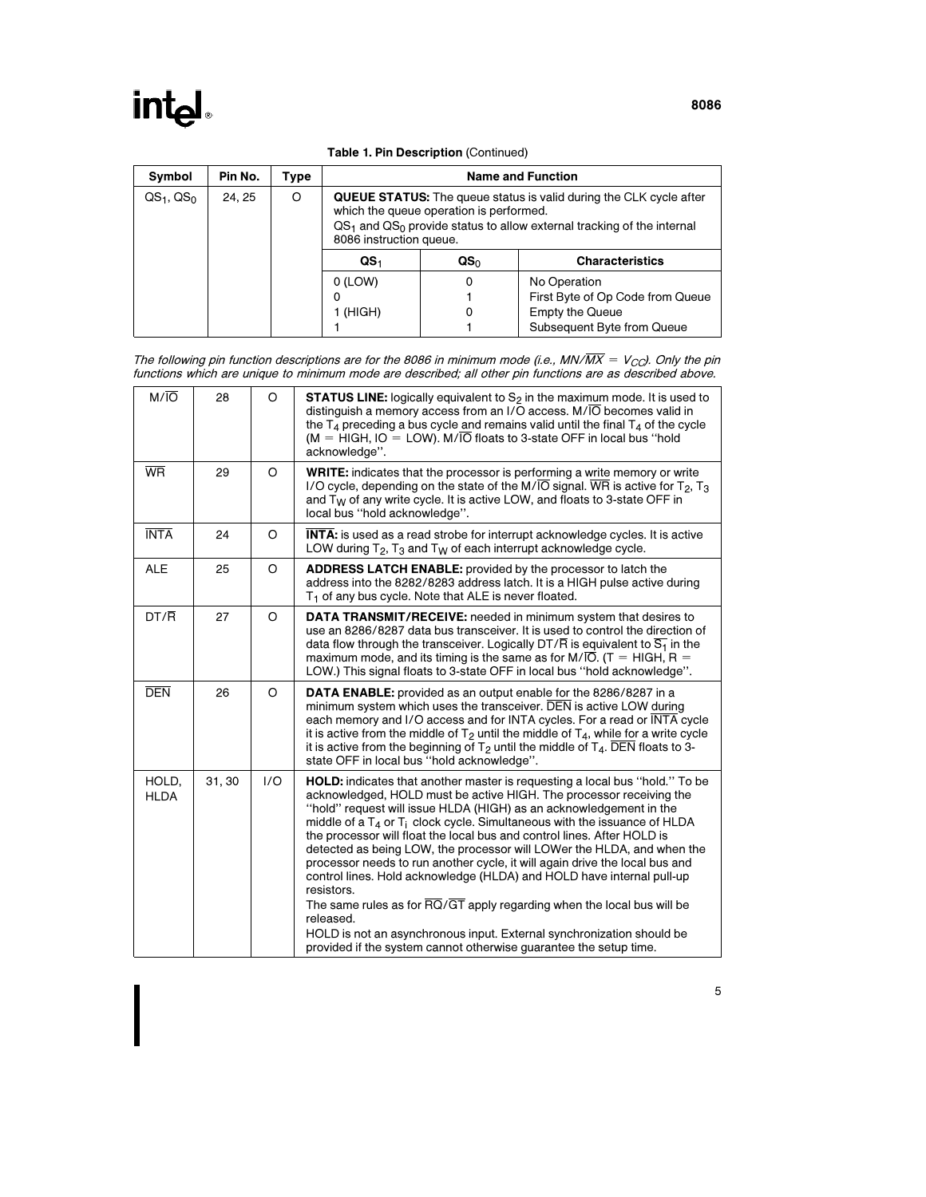| <b>Table 1. Pin Description (Continued)</b> |  |
|---------------------------------------------|--|

| Symbol        | Pin No. | Tvpe | <b>Name and Function</b>                                                                                                                                                                                                     |   |                                  |  |  |
|---------------|---------|------|------------------------------------------------------------------------------------------------------------------------------------------------------------------------------------------------------------------------------|---|----------------------------------|--|--|
| $QS1$ , $QS0$ | 24.25   | O    | <b>QUEUE STATUS:</b> The queue status is valid during the CLK cycle after<br>which the queue operation is performed.<br>$QS1$ and $QS0$ provide status to allow external tracking of the internal<br>8086 instruction queue. |   |                                  |  |  |
|               |         |      | QS <sub>0</sub><br><b>Characteristics</b><br>QS <sub>1</sub>                                                                                                                                                                 |   |                                  |  |  |
|               |         |      | $0$ (LOW)                                                                                                                                                                                                                    | 0 | No Operation                     |  |  |
|               |         |      | o                                                                                                                                                                                                                            |   | First Byte of Op Code from Queue |  |  |
|               |         |      | 1 (HIGH)                                                                                                                                                                                                                     | 0 | <b>Empty the Queue</b>           |  |  |
|               |         |      |                                                                                                                                                                                                                              |   | Subsequent Byte from Queue       |  |  |

The following pin function descriptions are for the 8086 in minimum mode (i.e., MN/ $\overline{MX} = V_{CO}$ ). Only the pin functions which are unique to minimum mode are described; all other pin functions are as described above.

| $M/\overline{O}$     | 28     | O       | <b>STATUS LINE:</b> logically equivalent to $S_2$ in the maximum mode. It is used to<br>distinguish a memory access from an I/O access. M/IO becomes valid in<br>the $T_A$ preceding a bus cycle and remains valid until the final $T_A$ of the cycle<br>$(M = HIGH, IO = LOW)$ . $M/\overline{O}$ floats to 3-state OFF in local bus "hold<br>acknowledge".                                                                                                                                                                                                                                                                                                                                                                                                                                                                                                                                       |  |  |  |
|----------------------|--------|---------|----------------------------------------------------------------------------------------------------------------------------------------------------------------------------------------------------------------------------------------------------------------------------------------------------------------------------------------------------------------------------------------------------------------------------------------------------------------------------------------------------------------------------------------------------------------------------------------------------------------------------------------------------------------------------------------------------------------------------------------------------------------------------------------------------------------------------------------------------------------------------------------------------|--|--|--|
| <b>WR</b>            | 29     | O       | <b>WRITE:</b> indicates that the processor is performing a write memory or write<br>I/O cycle, depending on the state of the M/IO signal. WR is active for $T_2$ , $T_3$<br>and T <sub>W</sub> of any write cycle. It is active LOW, and floats to 3-state OFF in<br>local bus "hold acknowledge".                                                                                                                                                                                                                                                                                                                                                                                                                                                                                                                                                                                                 |  |  |  |
| <b>INTA</b>          | 24     | O       | <b>INTA:</b> is used as a read strobe for interrupt acknowledge cycles. It is active<br>LOW during $T_2$ , $T_3$ and $T_W$ of each interrupt acknowledge cycle.                                                                                                                                                                                                                                                                                                                                                                                                                                                                                                                                                                                                                                                                                                                                    |  |  |  |
| <b>ALE</b>           | 25     | O       | <b>ADDRESS LATCH ENABLE:</b> provided by the processor to latch the<br>address into the 8282/8283 address latch. It is a HIGH pulse active during<br>T <sub>1</sub> of any bus cycle. Note that ALE is never floated.                                                                                                                                                                                                                                                                                                                                                                                                                                                                                                                                                                                                                                                                              |  |  |  |
| $DT/\overline{R}$    | 27     | $\circ$ | <b>DATA TRANSMIT/RECEIVE:</b> needed in minimum system that desires to<br>use an 8286/8287 data bus transceiver. It is used to control the direction of<br>data flow through the transceiver. Logically DT/ $\overline{R}$ is equivalent to $\overline{S_1}$ in the<br>maximum mode, and its timing is the same as for M/ $\overline{IO}$ . (T = HIGH, R =<br>LOW.) This signal floats to 3-state OFF in local bus "hold acknowledge".                                                                                                                                                                                                                                                                                                                                                                                                                                                             |  |  |  |
| <b>DEN</b>           | 26     | O       | <b>DATA ENABLE:</b> provided as an output enable for the 8286/8287 in a<br>minimum system which uses the transceiver. DEN is active LOW during<br>each memory and I/O access and for INTA cycles. For a read or INTA cycle<br>it is active from the middle of $T_2$ until the middle of $T_4$ , while for a write cycle<br>it is active from the beginning of $T_2$ until the middle of $T_4$ . DEN floats to 3-<br>state OFF in local bus "hold acknowledge".                                                                                                                                                                                                                                                                                                                                                                                                                                     |  |  |  |
| HOLD,<br><b>HLDA</b> | 31, 30 | 1/O     | HOLD: indicates that another master is requesting a local bus "hold." To be<br>acknowledged, HOLD must be active HIGH. The processor receiving the<br>"hold" request will issue HLDA (HIGH) as an acknowledgement in the<br>middle of a $T_4$ or $T_i$ clock cycle. Simultaneous with the issuance of HLDA<br>the processor will float the local bus and control lines. After HOLD is<br>detected as being LOW, the processor will LOWer the HLDA, and when the<br>processor needs to run another cycle, it will again drive the local bus and<br>control lines. Hold acknowledge (HLDA) and HOLD have internal pull-up<br>resistors.<br>The same rules as for $\overline{RQ}/\overline{GT}$ apply regarding when the local bus will be<br>released.<br>HOLD is not an asynchronous input. External synchronization should be<br>provided if the system cannot otherwise guarantee the setup time. |  |  |  |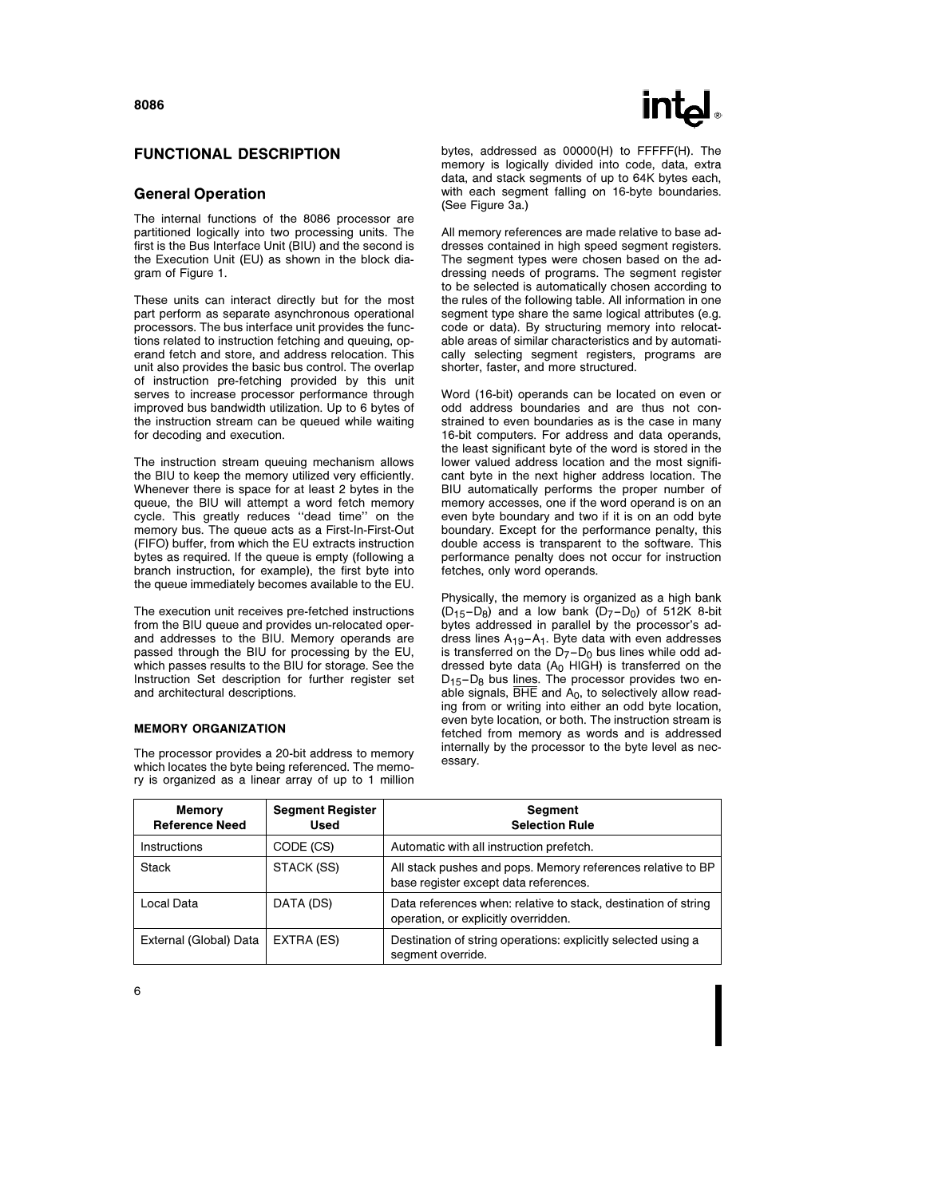#### FUNCTIONAL DESCRIPTION

#### General Operation

The internal functions of the 8086 processor are partitioned logically into two processing units. The first is the Bus Interface Unit (BIU) and the second is the Execution Unit (EU) as shown in the block diagram of Figure 1.

These units can interact directly but for the most part perform as separate asynchronous operational processors. The bus interface unit provides the functions related to instruction fetching and queuing, operand fetch and store, and address relocation. This unit also provides the basic bus control. The overlap of instruction pre-fetching provided by this unit serves to increase processor performance through improved bus bandwidth utilization. Up to 6 bytes of the instruction stream can be queued while waiting for decoding and execution.

The instruction stream queuing mechanism allows the BIU to keep the memory utilized very efficiently. Whenever there is space for at least 2 bytes in the queue, the BIU will attempt a word fetch memory cycle. This greatly reduces ''dead time'' on the memory bus. The queue acts as a First-In-First-Out (FIFO) buffer, from which the EU extracts instruction bytes as required. If the queue is empty (following a branch instruction, for example), the first byte into the queue immediately becomes available to the EU.

The execution unit receives pre-fetched instructions from the BIU queue and provides un-relocated operand addresses to the BIU. Memory operands are passed through the BIU for processing by the EU, which passes results to the BIU for storage. See the Instruction Set description for further register set and architectural descriptions.

#### MEMORY ORGANIZATION

The processor provides a 20-bit address to memory which locates the byte being referenced. The memory is organized as a linear array of up to 1 million bytes, addressed as 00000(H) to FFFFF(H). The memory is logically divided into code, data, extra data, and stack segments of up to 64K bytes each, with each segment falling on 16-byte boundaries. (See Figure 3a.)

All memory references are made relative to base addresses contained in high speed segment registers. The segment types were chosen based on the addressing needs of programs. The segment register to be selected is automatically chosen according to the rules of the following table. All information in one segment type share the same logical attributes (e.g. code or data). By structuring memory into relocatable areas of similar characteristics and by automatically selecting segment registers, programs are shorter, faster, and more structured.

Word (16-bit) operands can be located on even or odd address boundaries and are thus not constrained to even boundaries as is the case in many 16-bit computers. For address and data operands, the least significant byte of the word is stored in the lower valued address location and the most significant byte in the next higher address location. The BIU automatically performs the proper number of memory accesses, one if the word operand is on an even byte boundary and two if it is on an odd byte boundary. Except for the performance penalty, this double access is transparent to the software. This performance penalty does not occur for instruction fetches, only word operands.

Physically, the memory is organized as a high bank  $(D_{15}-D_8)$  and a low bank  $(D_7-D_0)$  of 512K 8-bit bytes addressed in parallel by the processor's address lines  $A_{19} - A_1$ . Byte data with even addresses is transferred on the  $D_7 - D_0$  bus lines while odd addressed byte data  $(A<sub>0</sub>$  HIGH) is transferred on the  $D_{15}-D_8$  bus lines. The processor provides two enable signals,  $\overline{BHE}$  and  $A_0$ , to selectively allow reading from or writing into either an odd byte location, even byte location, or both. The instruction stream is fetched from memory as words and is addressed internally by the processor to the byte level as necessary.

| <b>Memory</b><br><b>Reference Need</b> | <b>Segment Register</b><br>Used | <b>Segment</b><br><b>Selection Rule</b>                                                                |
|----------------------------------------|---------------------------------|--------------------------------------------------------------------------------------------------------|
| <b>Instructions</b>                    | CODE (CS)                       | Automatic with all instruction prefetch.                                                               |
| <b>Stack</b>                           | STACK (SS)                      | All stack pushes and pops. Memory references relative to BP<br>base register except data references.   |
| Local Data                             | DATA (DS)                       | Data references when: relative to stack, destination of string<br>operation, or explicitly overridden. |
| External (Global) Data                 | EXTRA (ES)                      | Destination of string operations: explicitly selected using a<br>segment override.                     |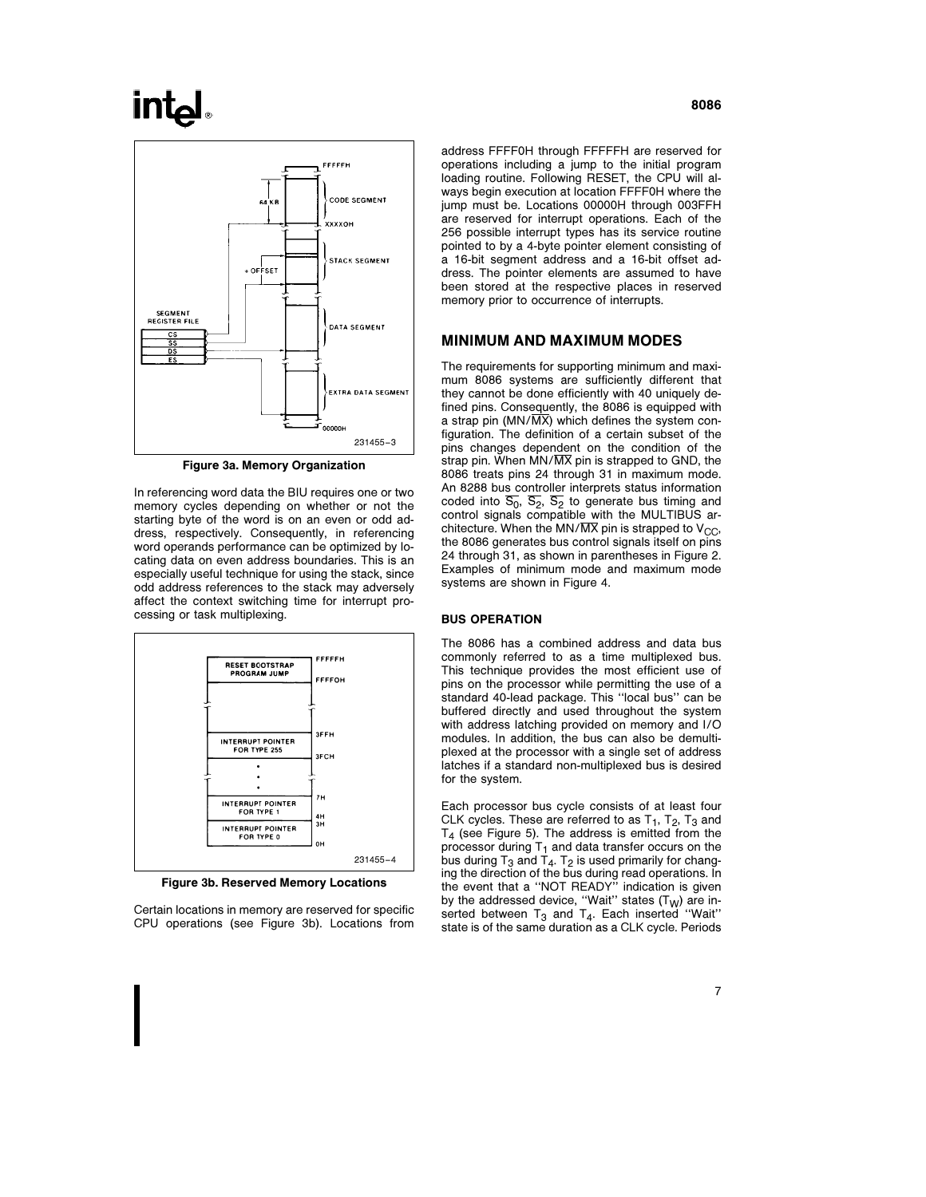## **intal**



Figure 3a. Memory Organization

In referencing word data the BIU requires one or two memory cycles depending on whether or not the starting byte of the word is on an even or odd address, respectively. Consequently, in referencing word operands performance can be optimized by locating data on even address boundaries. This is an especially useful technique for using the stack, since odd address references to the stack may adversely affect the context switching time for interrupt processing or task multiplexing.



Figure 3b. Reserved Memory Locations

Certain locations in memory are reserved for specific CPU operations (see Figure 3b). Locations from address FFFF0H through FFFFFH are reserved for operations including a jump to the initial program loading routine. Following RESET, the CPU will always begin execution at location FFFF0H where the jump must be. Locations 00000H through 003FFH are reserved for interrupt operations. Each of the 256 possible interrupt types has its service routine pointed to by a 4-byte pointer element consisting of a 16-bit segment address and a 16-bit offset address. The pointer elements are assumed to have been stored at the respective places in reserved memory prior to occurrence of interrupts.

### MINIMUM AND MAXIMUM MODES

The requirements for supporting minimum and maximum 8086 systems are sufficiently different that they cannot be done efficiently with 40 uniquely defined pins. Consequently, the 8086 is equipped with a strap pin ( $MN/\overline{MX}$ ) which defines the system configuration. The definition of a certain subset of the pins changes dependent on the condition of the strap pin. When  $MN/\overline{MX}$  pin is strapped to GND, the 8086 treats pins 24 through 31 in maximum mode. An 8288 bus controller interprets status information coded into  $\overline{S_0}$ ,  $\overline{S_2}$ ,  $\overline{S_2}$  to generate bus timing and control signals compatible with the MULTIBUS architecture. When the MN/ $\overline{MX}$  pin is strapped to  $V_{CC}$ , the 8086 generates bus control signals itself on pins 24 through 31, as shown in parentheses in Figure 2. Examples of minimum mode and maximum mode systems are shown in Figure 4.

#### BUS OPERATION

The 8086 has a combined address and data bus commonly referred to as a time multiplexed bus. This technique provides the most efficient use of pins on the processor while permitting the use of a standard 40-lead package. This ''local bus'' can be buffered directly and used throughout the system with address latching provided on memory and I/O modules. In addition, the bus can also be demultiplexed at the processor with a single set of address latches if a standard non-multiplexed bus is desired for the system.

Each processor bus cycle consists of at least four CLK cycles. These are referred to as  $T_1$ ,  $T_2$ ,  $T_3$  and  $T<sub>4</sub>$  (see Figure 5). The address is emitted from the processor during T<sub>1</sub> and data transfer occurs on the bus during T<sub>3</sub> and T<sub>4</sub>. T<sub>2</sub> is used primarily for changing the direction of the bus during read operations. In the event that a ''NOT READY'' indication is given by the addressed device, "Wait" states (T<sub>W</sub>) are inserted between  $T_3$  and  $T_4$ . Each inserted "Wait" state is of the same duration as a CLK cycle. Periods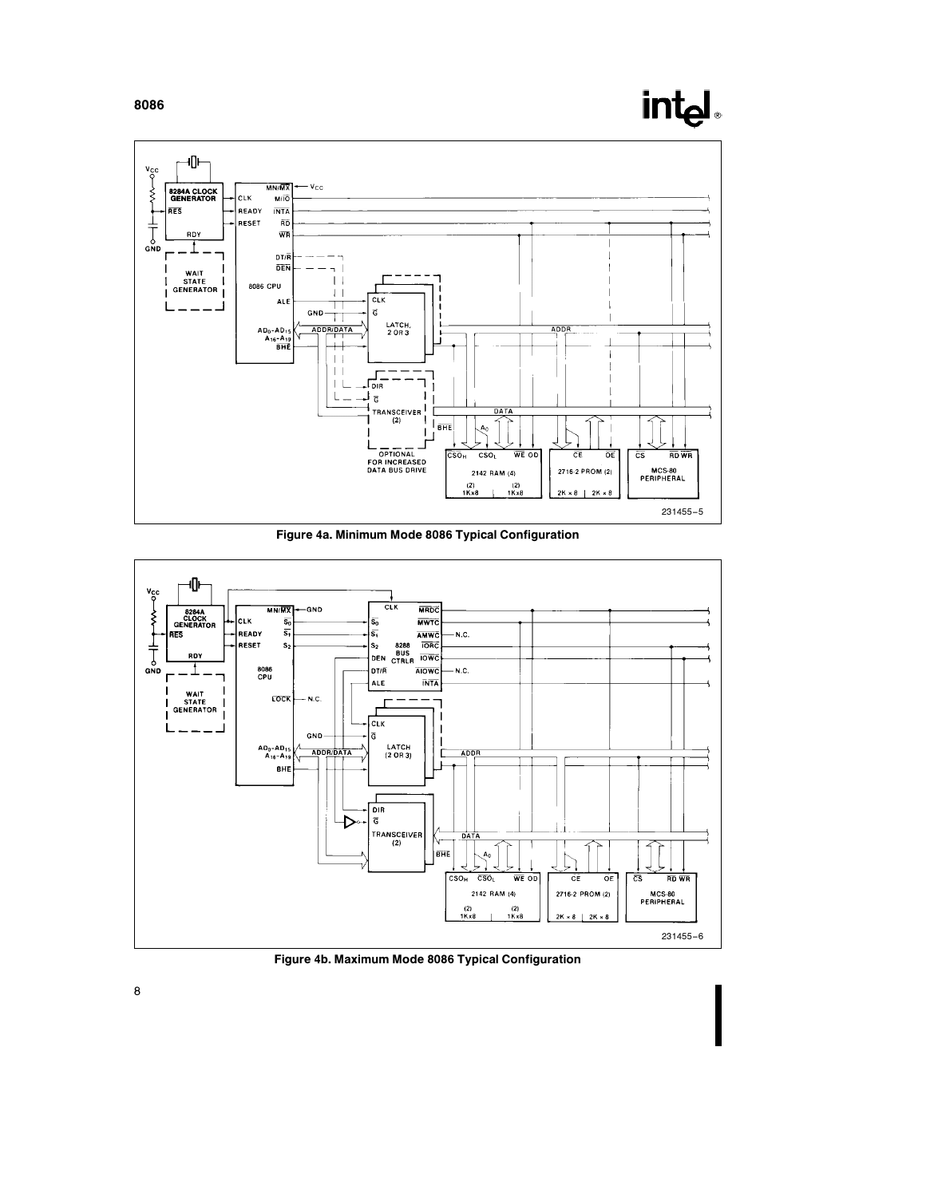

Figure 4a. Minimum Mode 8086 Typical Configuration



Figure 4b. Maximum Mode 8086 Typical Configuration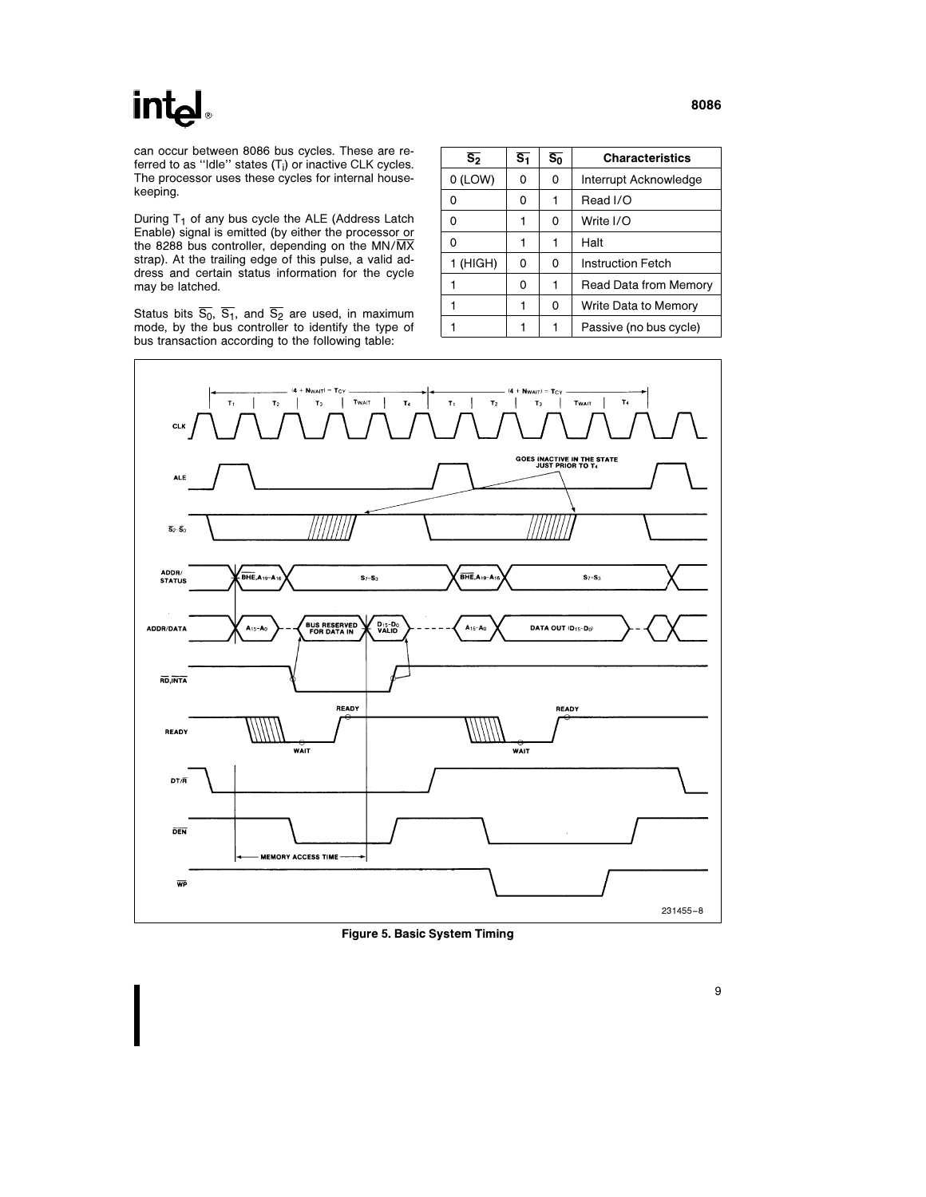## int<sub>e</sub>

can occur between 8086 bus cycles. These are referred to as "Idle" states  $(\mathsf{T}_\mathsf{i})$  or inactive CLK cycles. The processor uses these cycles for internal housekeeping.

During  $T_1$  of any bus cycle the ALE (Address Latch Enable) signal is emitted (by either the processor or the 8288 bus controller, depending on the MN/MX strap). At the trailing edge of this pulse, a valid address and certain status information for the cycle may be latched.

Status bits S<sub>0</sub>, S<sub>1</sub>, and S<sub>2</sub> are used, in maximum<br>mode, by the bus controller to identify the type of bus transaction according to the following table:

| $\overline{s_2}$ | $\overline{s_1}$ | $\overline{s_0}$ | <b>Characteristics</b>   |
|------------------|------------------|------------------|--------------------------|
| $0$ (LOW)        | O                | 0                | Interrupt Acknowledge    |
| 0                | O                |                  | Read I/O                 |
| 0                |                  | 0                | Write I/O                |
| 0                |                  |                  | Halt                     |
| 1 (HIGH)         | 0                | 0                | <b>Instruction Fetch</b> |
|                  | 0                |                  | Read Data from Memory    |
|                  |                  | 0                | Write Data to Memory     |
|                  |                  |                  | Passive (no bus cycle)   |



Figure 5. Basic System Timing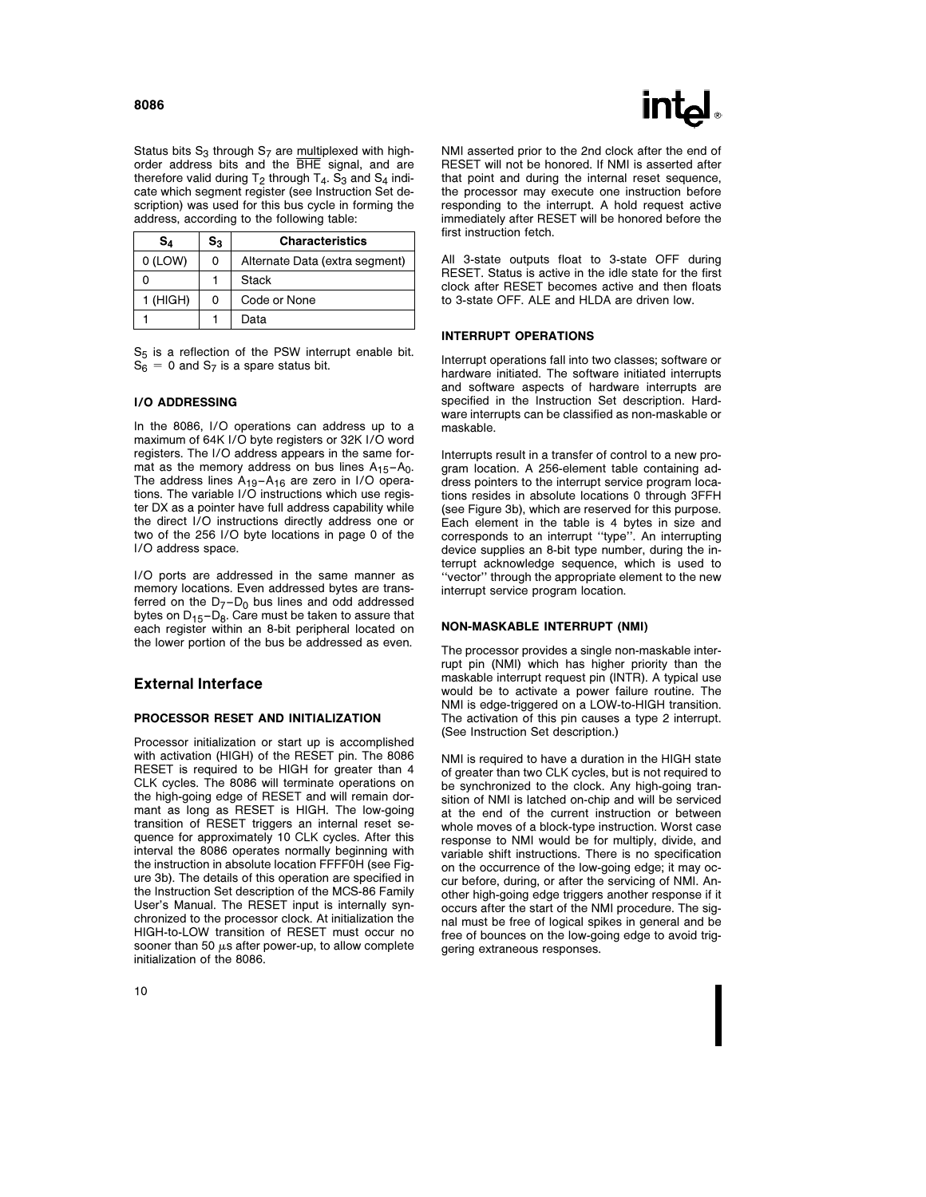

Status bits  $S_3$  through  $S_7$  are multiplexed with highorder address bits and the BHE signal, and are therefore valid during  $T_2$  through  $T_4$ . S<sub>3</sub> and S<sub>4</sub> indicate which segment register (see Instruction Set description) was used for this bus cycle in forming the address, according to the following table:

| S۵        | $\mathbf{S}_3$ | <b>Characteristics</b>         |
|-----------|----------------|--------------------------------|
| $0$ (LOW) | 0              | Alternate Data (extra segment) |
|           |                | Stack                          |
| 1 (HIGH)  | 0              | Code or None                   |
|           |                | Data                           |

 $S_5$  is a reflection of the PSW interrupt enable bit.  $S_6 = 0$  and  $S_7$  is a spare status bit.

#### I/O ADDRESSING

In the 8086, I/O operations can address up to a maximum of 64K I/O byte registers or 32K I/O word registers. The I/O address appears in the same format as the memory address on bus lines  $A_{15}-A_0$ . The address lines A<sub>19</sub>-A<sub>16</sub> are zero in I/O opera-<br>tions. The variable I/O instructions which use register DX as a pointer have full address capability while the direct I/O instructions directly address one or two of the 256 I/O byte locations in page 0 of the I/O address space.

I/O ports are addressed in the same manner as memory locations. Even addressed bytes are transferred on the  $D_7 - D_0$  bus lines and odd addressed bytes on  $D_{15}-D_8$ . Care must be taken to assure that each register within an 8-bit peripheral located on the lower portion of the bus be addressed as even.

#### External Interface

#### PROCESSOR RESET AND INITIALIZATION

Processor initialization or start up is accomplished with activation (HIGH) of the RESET pin. The 8086 RESET is required to be HIGH for greater than 4 CLK cycles. The 8086 will terminate operations on the high-going edge of RESET and will remain dormant as long as RESET is HIGH. The low-going transition of RESET triggers an internal reset sequence for approximately 10 CLK cycles. After this interval the 8086 operates normally beginning with the instruction in absolute location FFFF0H (see Figure 3b). The details of this operation are specified in the Instruction Set description of the MCS-86 Family User's Manual. The RESET input is internally synchronized to the processor clock. At initialization the HIGH-to-LOW transition of RESET must occur no sooner than 50  $\mu$ s after power-up, to allow complete initialization of the 8086.

NMI asserted prior to the 2nd clock after the end of RESET will not be honored. If NMI is asserted after that point and during the internal reset sequence, the processor may execute one instruction before responding to the interrupt. A hold request active immediately after RESET will be honored before the first instruction fetch.

All 3-state outputs float to 3-state OFF during RESET. Status is active in the idle state for the first clock after RESET becomes active and then floats to 3-state OFF. ALE and HLDA are driven low.

#### INTERRUPT OPERATIONS

Interrupt operations fall into two classes; software or hardware initiated. The software initiated interrupts and software aspects of hardware interrupts are specified in the Instruction Set description. Hardware interrupts can be classified as non-maskable or maskable.

Interrupts result in a transfer of control to a new program location. A 256-element table containing address pointers to the interrupt service program locations resides in absolute locations 0 through 3FFH (see Figure 3b), which are reserved for this purpose. Each element in the table is 4 bytes in size and corresponds to an interrupt ''type''. An interrupting device supplies an 8-bit type number, during the interrupt acknowledge sequence, which is used to ''vector'' through the appropriate element to the new interrupt service program location.

#### NON-MASKABLE INTERRUPT (NMI)

The processor provides a single non-maskable interrupt pin (NMI) which has higher priority than the maskable interrupt request pin (INTR). A typical use would be to activate a power failure routine. The NMI is edge-triggered on a LOW-to-HIGH transition. The activation of this pin causes a type 2 interrupt. (See Instruction Set description.)

NMI is required to have a duration in the HIGH state of greater than two CLK cycles, but is not required to be synchronized to the clock. Any high-going transition of NMI is latched on-chip and will be serviced at the end of the current instruction or between whole moves of a block-type instruction. Worst case response to NMI would be for multiply, divide, and variable shift instructions. There is no specification on the occurrence of the low-going edge; it may occur before, during, or after the servicing of NMI. Another high-going edge triggers another response if it occurs after the start of the NMI procedure. The signal must be free of logical spikes in general and be free of bounces on the low-going edge to avoid triggering extraneous responses.

#### 8086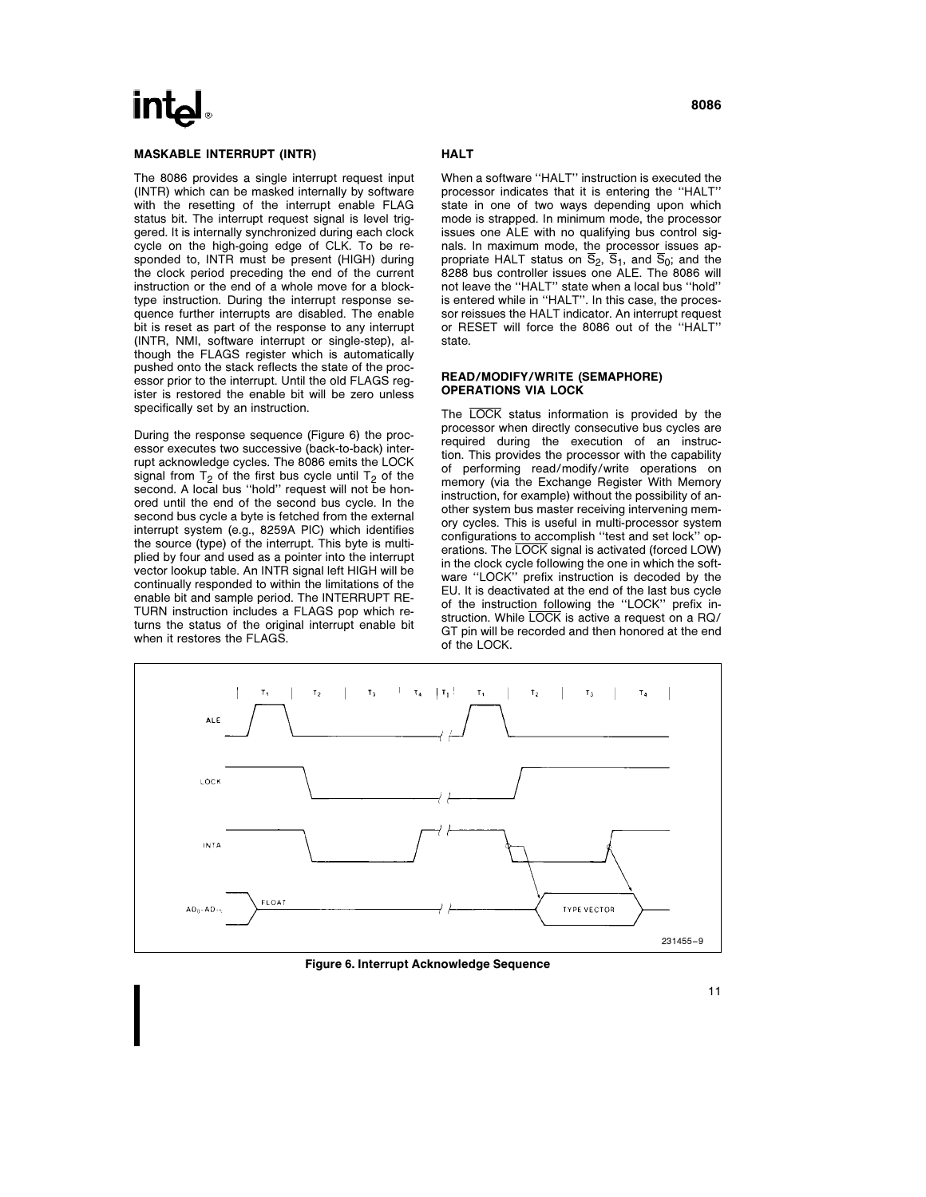## **Int**ط

#### MASKABLE INTERRUPT (INTR)

The 8086 provides a single interrupt request input (INTR) which can be masked internally by software with the resetting of the interrupt enable FLAG status bit. The interrupt request signal is level triggered. It is internally synchronized during each clock cycle on the high-going edge of CLK. To be responded to, INTR must be present (HIGH) during the clock period preceding the end of the current instruction or the end of a whole move for a blocktype instruction. During the interrupt response sequence further interrupts are disabled. The enable bit is reset as part of the response to any interrupt (INTR, NMI, software interrupt or single-step), although the FLAGS register which is automatically pushed onto the stack reflects the state of the processor prior to the interrupt. Until the old FLAGS register is restored the enable bit will be zero unless specifically set by an instruction.

During the response sequence (Figure 6) the processor executes two successive (back-to-back) interrupt acknowledge cycles. The 8086 emits the LOCK signal from  $T_2$  of the first bus cycle until  $T_2$  of the second. A local bus ''hold'' request will not be honored until the end of the second bus cycle. In the second bus cycle a byte is fetched from the external interrupt system (e.g., 8259A PIC) which identifies the source (type) of the interrupt. This byte is multiplied by four and used as a pointer into the interrupt vector lookup table. An INTR signal left HIGH will be continually responded to within the limitations of the enable bit and sample period. The INTERRUPT RE-TURN instruction includes a FLAGS pop which returns the status of the original interrupt enable bit when it restores the FLAGS.

#### **HALT**

When a software ''HALT'' instruction is executed the processor indicates that it is entering the ''HALT'' state in one of two ways depending upon which mode is strapped. In minimum mode, the processor issues one ALE with no qualifying bus control signals. In maximum mode, the processor issues appropriate HALT status on  $\overline{S}_2$ ,  $\overline{S}_1$ , and  $\overline{S}_0$ ; and the 8288 bus controller issues one ALE. The 8086 will not leave the ''HALT'' state when a local bus ''hold'' is entered while in ''HALT''. In this case, the processor reissues the HALT indicator. An interrupt request or RESET will force the 8086 out of the ''HALT'' state.

#### READ/MODIFY/WRITE (SEMAPHORE) OPERATIONS VIA LOCK

The LOCK status information is provided by the processor when directly consecutive bus cycles are required during the execution of an instruction. This provides the processor with the capability of performing read/modify/write operations on memory (via the Exchange Register With Memory instruction, for example) without the possibility of another system bus master receiving intervening memory cycles. This is useful in multi-processor system configurations to accomplish ''test and set lock'' operations. The LOCK signal is activated (forced LOW) in the clock cycle following the one in which the software ''LOCK'' prefix instruction is decoded by the EU. It is deactivated at the end of the last bus cycle of the instruction following the ''LOCK'' prefix instruction. While LOCK is active a request on a RQ/ GT pin will be recorded and then honored at the end of the LOCK.



Figure 6. Interrupt Acknowledge Sequence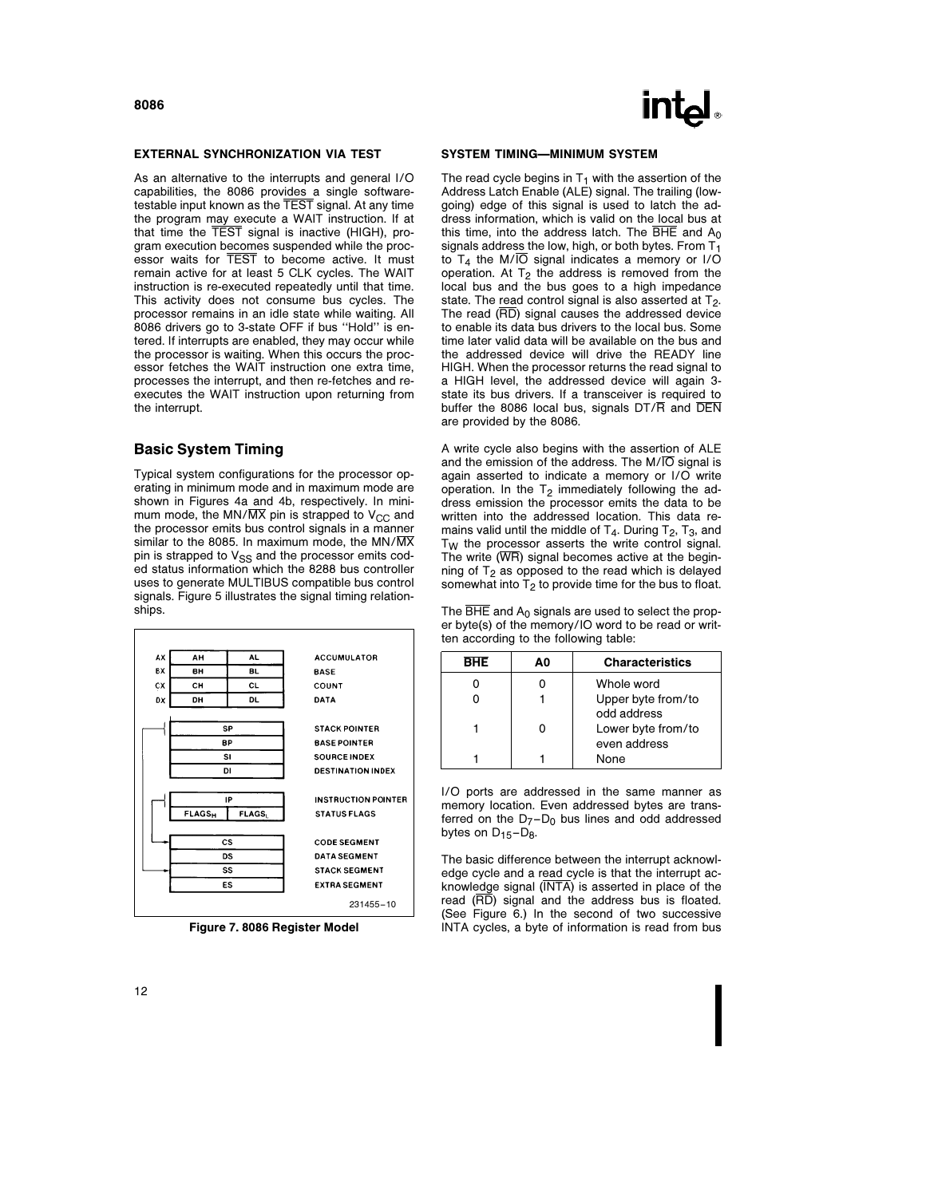#### EXTERNAL SYNCHRONIZATION VIA TEST

As an alternative to the interrupts and general I/O capabilities, the 8086 provides a single softwaretestable input known as the TEST signal. At any time the program may execute a WAIT instruction. If at that time the TEST signal is inactive (HIGH), program execution becomes suspended while the processor waits for TEST to become active. It must remain active for at least 5 CLK cycles. The WAIT instruction is re-executed repeatedly until that time. This activity does not consume bus cycles. The processor remains in an idle state while waiting. All 8086 drivers go to 3-state OFF if bus ''Hold'' is entered. If interrupts are enabled, they may occur while the processor is waiting. When this occurs the processor fetches the WAIT instruction one extra time, processes the interrupt, and then re-fetches and reexecutes the WAIT instruction upon returning from the interrupt.

#### Basic System Timing

Typical system configurations for the processor operating in minimum mode and in maximum mode are shown in Figures 4a and 4b, respectively. In minimum mode, the MN/ $\overline{\text{MX}}$  pin is strapped to V<sub>CC</sub> and the processor emits bus control signals in a manner similar to the 8085. In maximum mode, the MN/ $\overline{\text{MX}}$ pin is strapped to V<sub>SS</sub> and the processor emits coded status information which the 8288 bus controller uses to generate MULTIBUS compatible bus control signals. Figure 5 illustrates the signal timing relationships.



Figure 7. 8086 Register Model



#### SYSTEM TIMING—MINIMUM SYSTEM

The read cycle begins in  $T_1$  with the assertion of the Address Latch Enable (ALE) signal. The trailing (lowgoing) edge of this signal is used to latch the address information, which is valid on the local bus at this time, into the address latch. The  $\overline{BHE}$  and  $A_0$ signals address the low, high, or both bytes. From  $T_1$ to  $T_4$  the M/ $\overline{IO}$  signal indicates a memory or I/O operation. At  $T_2$  the address is removed from the local bus and the bus goes to a high impedance state. The read control signal is also asserted at  $T_2$ . The read (RD) signal causes the addressed device to enable its data bus drivers to the local bus. Some time later valid data will be available on the bus and the addressed device will drive the READY line HIGH. When the processor returns the read signal to a HIGH level, the addressed device will again 3 state its bus drivers. If a transceiver is required to buffer the 8086 local bus, signals  $DT/\overline{R}$  and  $\overline{DEN}$ are provided by the 8086.

A write cycle also begins with the assertion of ALE and the emission of the address. The  $M/\overline{O}$  signal is again asserted to indicate a memory or I/O write operation. In the  $T_2$  immediately following the address emission the processor emits the data to be written into the addressed location. This data remains valid until the middle of  $T_4$ . During  $T_2$ ,  $T_3$ , and  $T_W$  the processor asserts the write control signal. The write  $(WR)$  signal becomes active at the beginning of  $T_2$  as opposed to the read which is delayed somewhat into  $T_2$  to provide time for the bus to float.

The  $\overline{\text{BHE}}$  and  $A_0$  signals are used to select the proper byte(s) of the memory/IO word to be read or written according to the following table:

| RHF | AΟ | <b>Characteristics</b> |
|-----|----|------------------------|
|     |    | Whole word             |
|     |    | Upper byte from/to     |
|     |    | odd address            |
|     |    | Lower byte from/to     |
|     |    | even address           |
|     |    | None                   |

I/O ports are addressed in the same manner as memory location. Even addressed bytes are transferred on the  $D_7 - D_0$  bus lines and odd addressed bytes on  $D_{15}-D_{8}$ .

The basic difference between the interrupt acknowledge cycle and a read cycle is that the interrupt acknowledge signal (INTA) is asserted in place of the read  $(\overline{RD})$  signal and the address bus is floated. (See Figure 6.) In the second of two successive INTA cycles, a byte of information is read from bus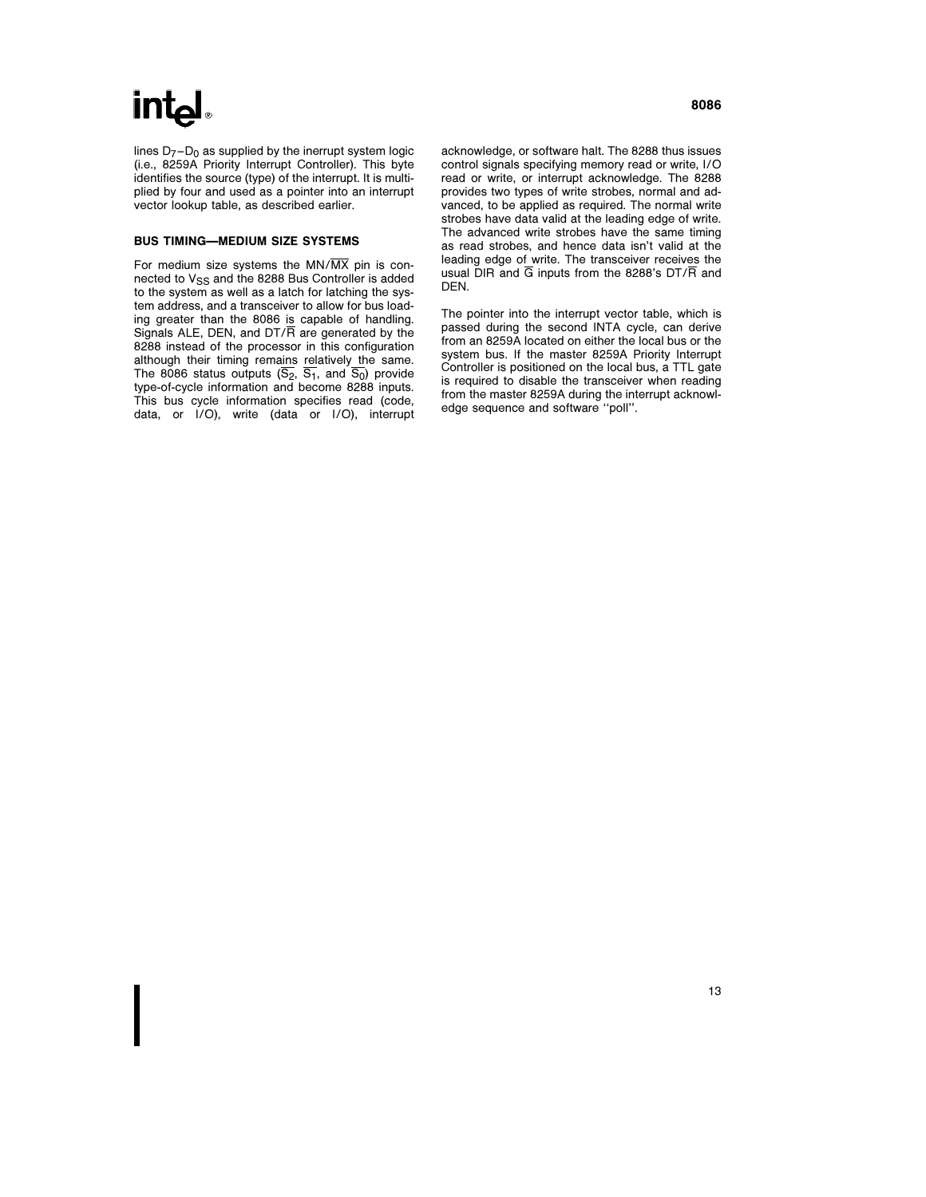## int<sub>el</sub>

lines  $D_7 - D_0$  as supplied by the inerrupt system logic (i.e., 8259A Priority Interrupt Controller). This byte identifies the source (type) of the interrupt. It is multiplied by four and used as a pointer into an interrupt vector lookup table, as described earlier.

#### BUS TIMING—MEDIUM SIZE SYSTEMS

For medium size systems the  $MN/\overline{MX}$  pin is connected to  $V_{SS}$  and the 8288 Bus Controller is added to the system as well as a latch for latching the system address, and a transceiver to allow for bus loading greater than the 8086 is capable of handling. Signals ALE, DEN, and DT/R are generated by the 8288 instead of the processor in this configuration although their timing remains relatively the same. The 8086 status outputs  $(S_2, S_1,$  and  $S_0$ ) provide type-of-cycle information and become 8288 inputs. This bus cycle information specifies read (code, data, or I/O), write (data or I/O), interrupt acknowledge, or software halt. The 8288 thus issues control signals specifying memory read or write, I/O read or write, or interrupt acknowledge. The 8288 provides two types of write strobes, normal and advanced, to be applied as required. The normal write strobes have data valid at the leading edge of write. The advanced write strobes have the same timing as read strobes, and hence data isn't valid at the leading edge of write. The transceiver receives the usual DIR and  $\overline{G}$  inputs from the 8288's DT/ $\overline{R}$  and DEN.

The pointer into the interrupt vector table, which is passed during the second INTA cycle, can derive from an 8259A located on either the local bus or the system bus. If the master 8259A Priority Interrupt Controller is positioned on the local bus, a TTL gate is required to disable the transceiver when reading from the master 8259A during the interrupt acknowledge sequence and software ''poll''.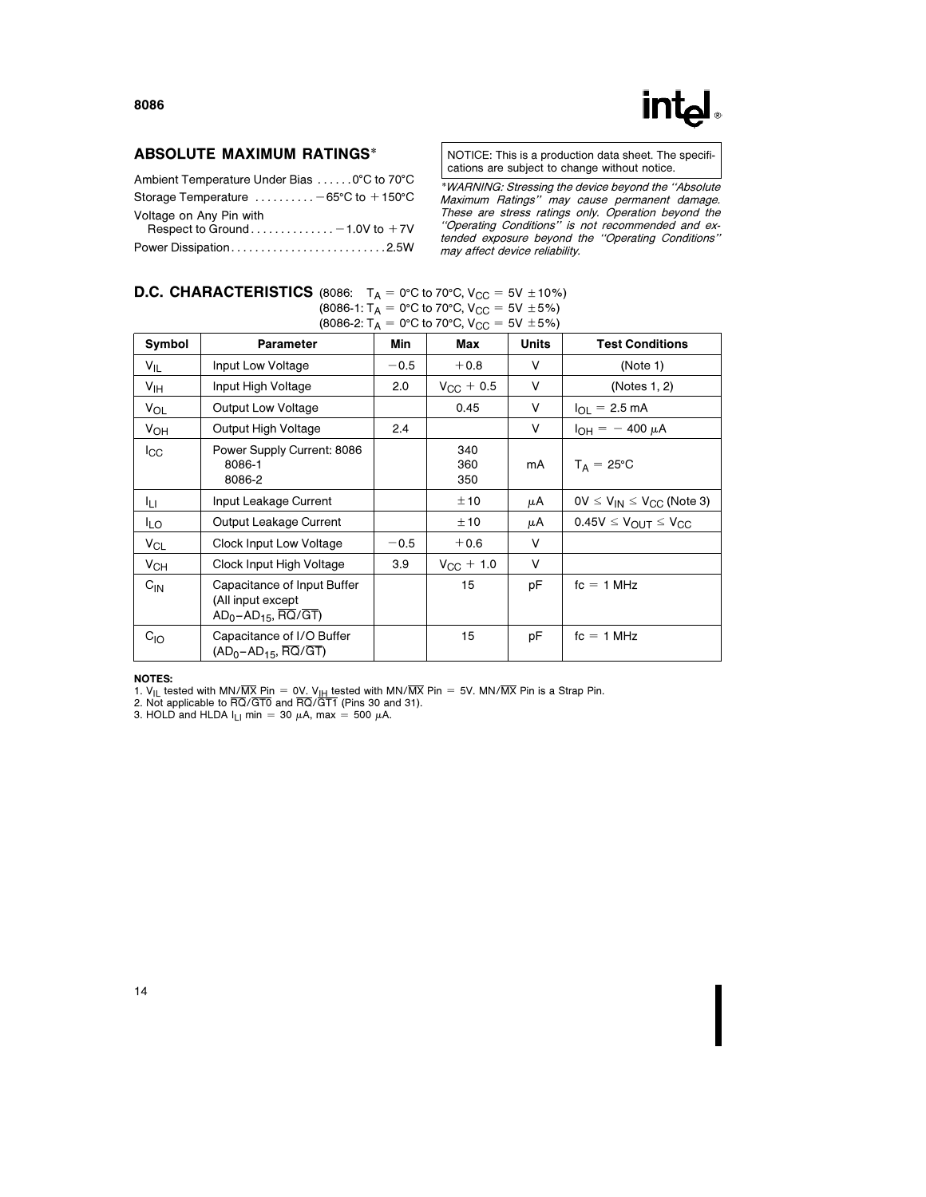### ABSOLUTE MAXIMUM RATINGS\*

| Ambient Temperature Under Bias 0°C to 70°C                   |  |
|--------------------------------------------------------------|--|
| Storage Temperature $\dots\dots\dots -65$ °C to +150°C       |  |
| Voltage on Any Pin with<br>Respect to Ground - 1.0V to $+7V$ |  |
| Power Dissipation2.5W                                        |  |

NOTICE: This is a production data sheet. The specifications are subject to change without notice.

\*WARNING: Stressing the device beyond the ''Absolute Maximum Ratings'' may cause permanent damage. These are stress ratings only. Operation beyond the ''Operating Conditions'' is not recommended and extended exposure beyond the ''Operating Conditions'' may affect device reliability.

| <b>D.C. CHARACTERISTICS</b> (8086: $T_A = 0^\circ \text{C}$ to 70°C, $V_{CC} = 5V \pm 10\%$ ) |  |                                                           |  |
|-----------------------------------------------------------------------------------------------|--|-----------------------------------------------------------|--|
|                                                                                               |  | $(8086-1: T_A = 0$ °C to 70°C, V <sub>CC</sub> = 5V ± 5%) |  |
|                                                                                               |  | (8086-2: $T_A = 0$ °C to 70°C, V <sub>CC</sub> = 5V ±5%)  |  |

| Symbol                | <b>Parameter</b>                                                                | Min    | Max                | <b>Units</b> | <b>Test Conditions</b>              |
|-----------------------|---------------------------------------------------------------------------------|--------|--------------------|--------------|-------------------------------------|
| $V_{IL}$              | Input Low Voltage                                                               | $-0.5$ | $+0.8$             | V            | (Note 1)                            |
| V <sub>IH</sub>       | Input High Voltage                                                              | 2.0    | $V_{\rm CC} + 0.5$ | v            | (Notes 1, 2)                        |
| VOL                   | Output Low Voltage                                                              |        | 0.45               | V            | $I_{\Omega I} = 2.5 \text{ mA}$     |
| $V_{OH}$              | Output High Voltage                                                             | 2.4    |                    | V            | $I_{OH} = -400 \mu A$               |
| $_{\rm lcc}$          | Power Supply Current: 8086<br>8086-1<br>8086-2                                  |        | 340<br>360<br>350  | mA           | $T_A = 25^{\circ}C$                 |
| Iц.                   | Input Leakage Current                                                           |        | ±10                | μA           | $0V \le V_{IN} \le V_{CC}$ (Note 3) |
| ILO.                  | Output Leakage Current                                                          |        | ±10                | μA           | $0.45V \leq V_{OUT} \leq V_{CC}$    |
| <b>V<sub>CL</sub></b> | Clock Input Low Voltage                                                         | $-0.5$ | $+0.6$             | $\vee$       |                                     |
| $V_{CH}$              | Clock Input High Voltage                                                        | 3.9    | $V_{\rm CC}$ + 1.0 | V            |                                     |
| $C_{IN}$              | Capacitance of Input Buffer<br>(All input except<br>$AD_0$ – $AD_{15}$ , RQ/GT) |        | 15                 | рF           | $fc = 1 MHz$                        |
| $C_{IO}$              | Capacitance of I/O Buffer<br>$(AD_0 - AD_{15}, RQ/GT)$                          |        | 15                 | рF           | $fc = 1 MHz$                        |

#### NOTES:

1. V<sub>IL</sub> tested with MN/MX Pin = 0V. V<sub>IH</sub> tested with MN/MX Pin = 5V. MN/MX Pin is a Strap Pin.<br>2. Not applicable to RQ/GT0 and RQ/GT1 (Pins 30 and 31).<br>3. HOLD and HLDA I<sub>LI</sub> min = 30 μA, max = 500 μA.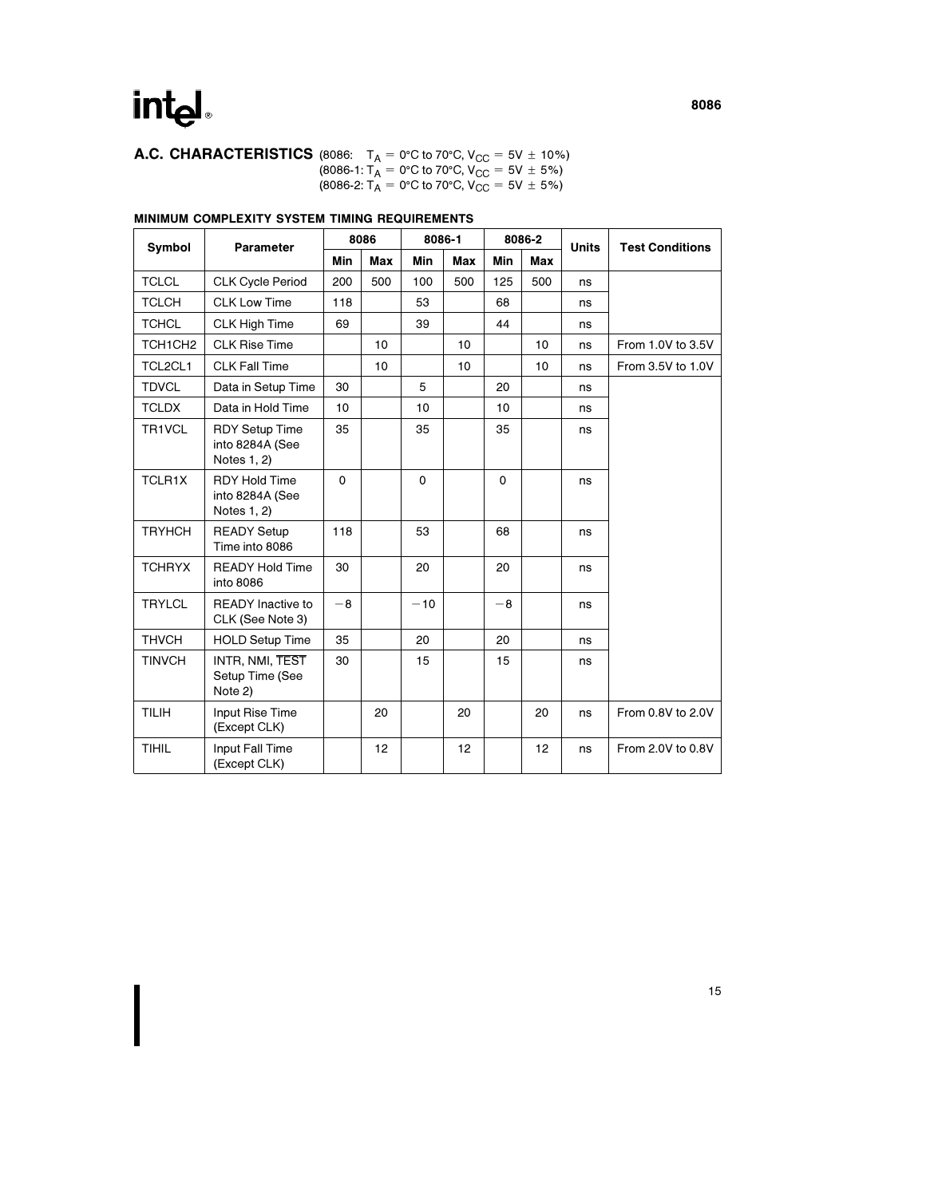**A.C. CHARACTERISTICS** (8086:  $T_A = 0^{\circ}C$  to 70°C,  $V_{CC} = 5V \pm 10\%$ )  $(8086-1: T_A = 0$ °C to 70°C, V<sub>CC</sub> = 5V  $\pm$  5%) (8086-2:  $T_A = 0^\circ \text{C}$  to 70°C,  $V_{CC} = 5V \pm 5\%$ )

### MINIMUM COMPLEXITY SYSTEM TIMING REQUIREMENTS

| <b>Symbol</b>                    | <b>Parameter</b>                                        | 8086        |     | 8086-1      |            |             | 8086-2 | <b>Units</b> | <b>Test Conditions</b> |
|----------------------------------|---------------------------------------------------------|-------------|-----|-------------|------------|-------------|--------|--------------|------------------------|
|                                  |                                                         | Min         | Max | Min         | <b>Max</b> | Min         | Max    |              |                        |
| <b>TCLCL</b>                     | <b>CLK Cycle Period</b>                                 | 200         | 500 | 100         | 500        | 125         | 500    | ns           |                        |
| <b>TCLCH</b>                     | <b>CLK Low Time</b>                                     | 118         |     | 53          |            | 68          |        | ns           |                        |
| <b>TCHCL</b>                     | <b>CLK High Time</b>                                    | 69          |     | 39          |            | 44          |        | ns           |                        |
| TCH <sub>1</sub> CH <sub>2</sub> | <b>CLK Rise Time</b>                                    |             | 10  |             | 10         |             | 10     | ns           | From 1.0V to 3.5V      |
| TCL2CL1                          | <b>CLK Fall Time</b>                                    |             | 10  |             | 10         |             | 10     | ns           | From 3.5V to 1.0V      |
| <b>TDVCL</b>                     | Data in Setup Time                                      | 30          |     | 5           |            | 20          |        | ns           |                        |
| <b>TCLDX</b>                     | Data in Hold Time                                       | 10          |     | 10          |            | 10          |        | ns           |                        |
| TR1VCL                           | <b>RDY Setup Time</b><br>into 8284A (See<br>Notes 1, 2) | 35          |     | 35          |            | 35          |        | ns           |                        |
| TCLR1X                           | <b>RDY Hold Time</b><br>into 8284A (See<br>Notes 1, 2)  | $\mathbf 0$ |     | $\mathbf 0$ |            | $\mathbf 0$ |        | ns           |                        |
| <b>TRYHCH</b>                    | <b>READY Setup</b><br>Time into 8086                    | 118         |     | 53          |            | 68          |        | ns           |                        |
| <b>TCHRYX</b>                    | <b>READY Hold Time</b><br>into 8086                     | 30          |     | 20          |            | 20          |        | ns           |                        |
| <b>TRYLCL</b>                    | <b>READY</b> Inactive to<br>CLK (See Note 3)            | $-8$        |     | $-10$       |            | $-8$        |        | ns           |                        |
| <b>THVCH</b>                     | <b>HOLD Setup Time</b>                                  | 35          |     | 20          |            | 20          |        | ns           |                        |
| <b>TINVCH</b>                    | INTR, NMI, TEST<br>Setup Time (See<br>Note 2)           | 30          |     | 15          |            | 15          |        | ns           |                        |
| <b>TILIH</b>                     | Input Rise Time<br>(Except CLK)                         |             | 20  |             | 20         |             | 20     | ns           | From 0.8V to 2.0V      |
| <b>TIHIL</b>                     | Input Fall Time<br>(Except CLK)                         |             | 12  |             | 12         |             | 12     | ns           | From 2.0V to 0.8V      |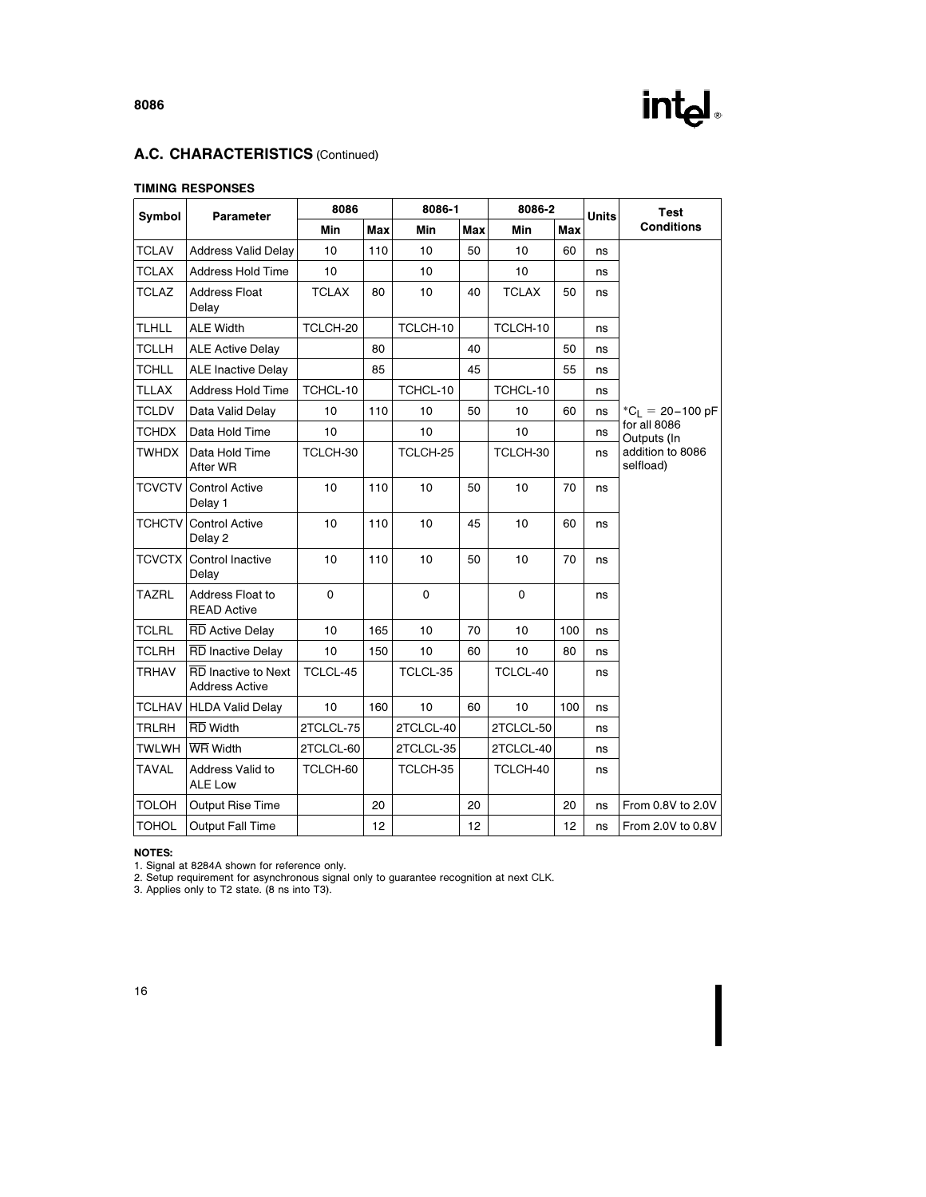

### A.C. CHARACTERISTICS (Continued)

#### TIMING RESPONSES

| Symbol        | <b>Parameter</b>                                    | 8086         |            |             | 8086-1     | 8086-2       |     | <b>Units</b> | <b>Test</b>                   |
|---------------|-----------------------------------------------------|--------------|------------|-------------|------------|--------------|-----|--------------|-------------------------------|
|               |                                                     | Min          | <b>Max</b> | Min         | <b>Max</b> | Min          | Max |              | <b>Conditions</b>             |
| <b>TCLAV</b>  | <b>Address Valid Delay</b>                          | 10           | 110        | 10          | 50         | 10           | 60  | ns           |                               |
| <b>TCLAX</b>  | <b>Address Hold Time</b>                            | 10           |            | 10          |            | 10           |     | ns           |                               |
| <b>TCLAZ</b>  | <b>Address Float</b><br>Delay                       | <b>TCLAX</b> | 80         | 10          | 40         | <b>TCLAX</b> | 50  | ns           |                               |
| <b>TLHLL</b>  | <b>ALE Width</b>                                    | TCLCH-20     |            | TCLCH-10    |            | TCLCH-10     |     | ns           |                               |
| <b>TCLLH</b>  | <b>ALE Active Delay</b>                             |              | 80         |             | 40         |              | 50  | ns           |                               |
| <b>TCHLL</b>  | <b>ALE Inactive Delay</b>                           |              | 85         |             | 45         |              | 55  | ns           |                               |
| <b>TLLAX</b>  | <b>Address Hold Time</b>                            | TCHCL-10     |            | TCHCL-10    |            | TCHCL-10     |     | ns           |                               |
| <b>TCLDV</b>  | Data Valid Delay                                    | 10           | 110        | 10          | 50         | 10           | 60  | ns           | $^{\ast}C_{L} = 20 - 100$ pF  |
| <b>TCHDX</b>  | Data Hold Time                                      | 10           |            | 10          |            | 10           |     | ns           | for all 8086<br>Outputs (In   |
| <b>TWHDX</b>  | Data Hold Time<br>After WR                          | TCLCH-30     |            | TCLCH-25    |            | TCLCH-30     |     | ns           | addition to 8086<br>selfload) |
| <b>TCVCTV</b> | <b>Control Active</b><br>Delay 1                    | 10           | 110        | 10          | 50         | 10           | 70  | ns           |                               |
| <b>TCHCTV</b> | <b>Control Active</b><br>Delay 2                    | 10           | 110        | 10          | 45         | 10           | 60  | ns           |                               |
| TCVCTX        | Control Inactive<br>Delay                           | 10           | 110        | 10          | 50         | 10           | 70  | ns           |                               |
| TAZRL         | Address Float to<br><b>READ Active</b>              | 0            |            | $\mathbf 0$ |            | $\mathbf 0$  |     | ns           |                               |
| <b>TCLRL</b>  | <b>RD</b> Active Delay                              | 10           | 165        | 10          | 70         | 10           | 100 | ns           |                               |
| <b>TCLRH</b>  | <b>RD Inactive Delay</b>                            | 10           | 150        | 10          | 60         | 10           | 80  | ns           |                               |
| <b>TRHAV</b>  | <b>RD</b> Inactive to Next<br><b>Address Active</b> | TCLCL-45     |            | TCLCL-35    |            | TCLCL-40     |     | ns           |                               |
| <b>TCLHAV</b> | <b>HLDA Valid Delay</b>                             | 10           | 160        | 10          | 60         | 10           | 100 | ns           |                               |
| <b>TRLRH</b>  | <b>RD</b> Width                                     | 2TCLCL-75    |            | 2TCLCL-40   |            | 2TCLCL-50    |     | ns           |                               |
| <b>TWLWH</b>  | WR Width                                            | 2TCLCL-60    |            | 2TCLCL-35   |            | 2TCLCL-40    |     | ns           |                               |
| <b>TAVAL</b>  | Address Valid to<br><b>ALE Low</b>                  | TCLCH-60     |            | TCLCH-35    |            | TCLCH-40     |     | ns           |                               |
| TOLOH         | Output Rise Time                                    |              | 20         |             | 20         |              | 20  | ns           | From 0.8V to 2.0V             |
| <b>TOHOL</b>  | <b>Output Fall Time</b>                             |              | 12         |             | 12         |              | 12  | ns           | From 2.0V to 0.8V             |

#### NOTES:

1. Signal at 8284A shown for reference only. 2. Setup requirement for asynchronous signal only to guarantee recognition at next CLK. 3. Applies only to T2 state. (8 ns into T3).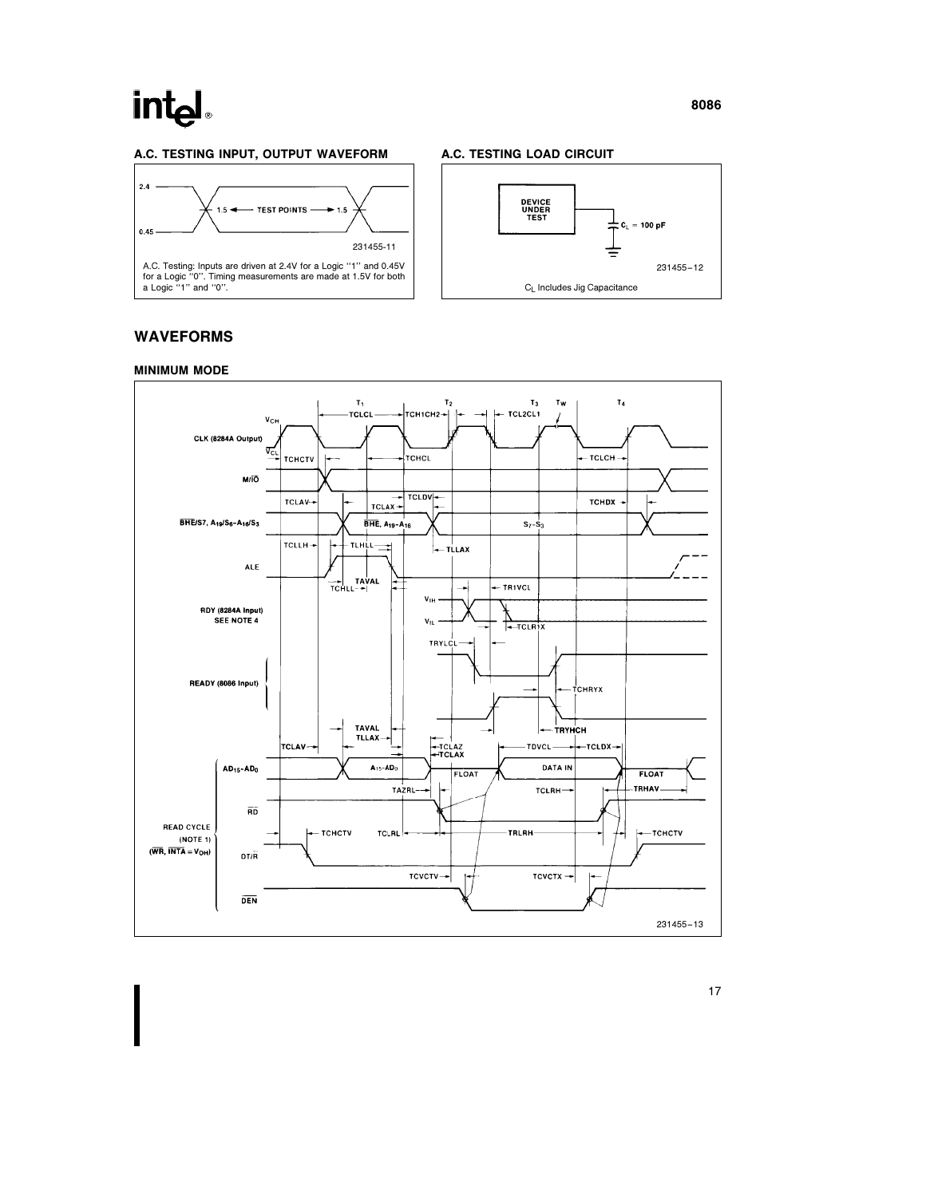## int<sub>el</sub>

#### A.C. TESTING INPUT, OUTPUT WAVEFORM







### WAVEFORMS



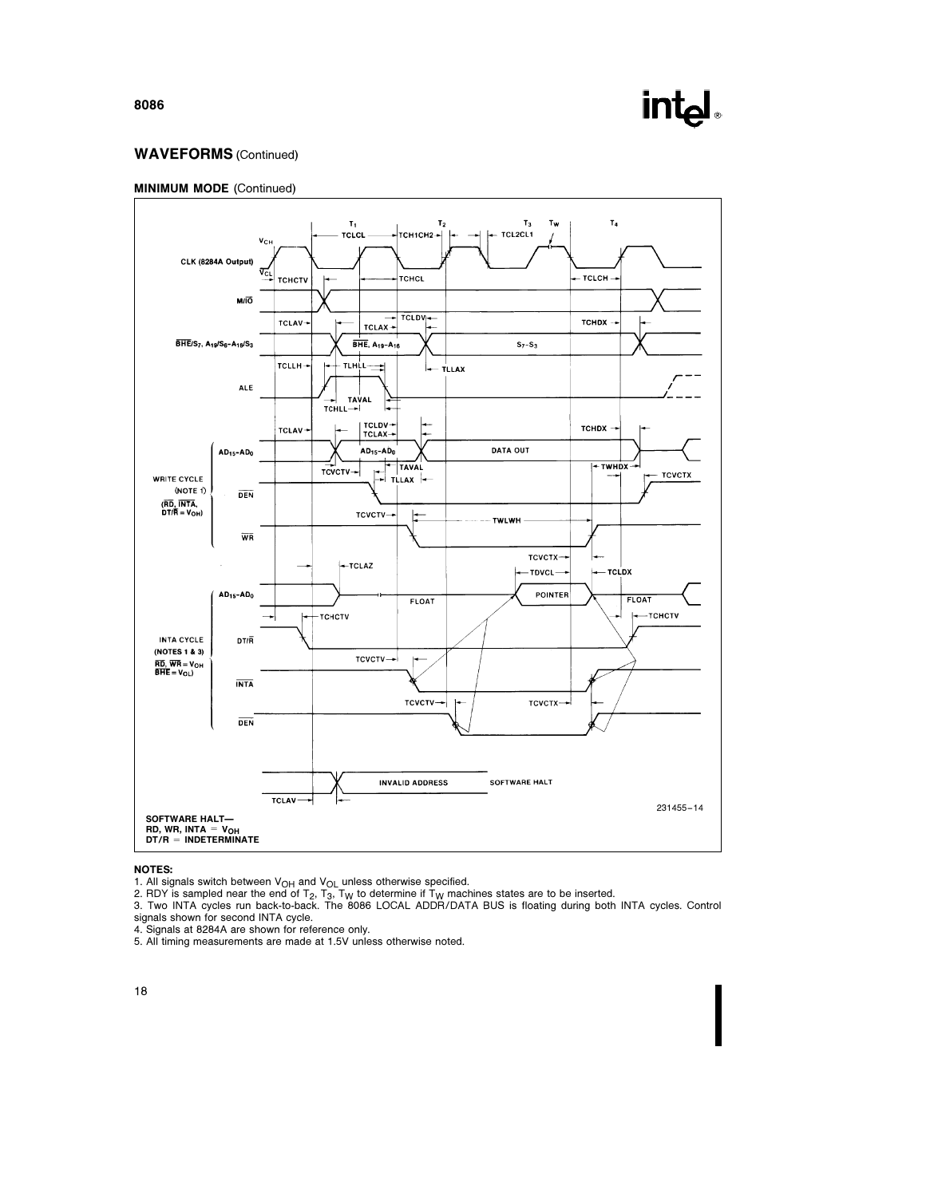### WAVEFORMS (Continued)





#### NOTES:

1. All signals switch between V<sub>OH</sub> and V<sub>OL</sub> unless otherwise specified.<br>2. RDY is sampled near the end of T<sub>2</sub>, T<sub>3</sub>, T<sub>W</sub> to determine if T<sub>W</sub> machines states are to be inserted.<br>3. Two INTA cycles run back-to-back. The signals shown for second INTA cycle.

4. Signals at 8284A are shown for reference only. 5. All timing measurements are made at 1.5V unless otherwise noted.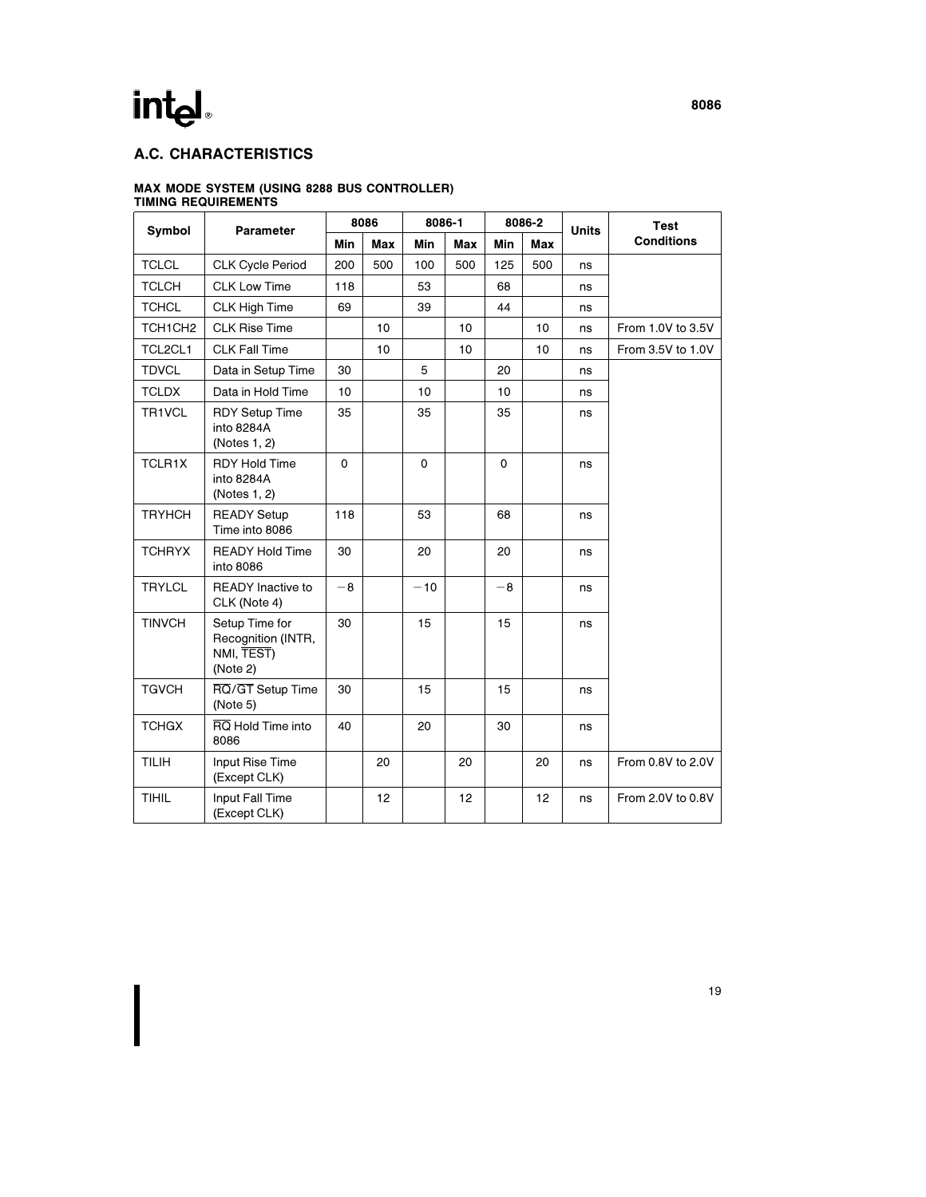### A.C. CHARACTERISTICS

### MAX MODE SYSTEM (USING 8288 BUS CONTROLLER)

|               |                                                                |             | 8086       | 8086-1 |            |             | 8086-2 | <b>Units</b> | <b>Test</b>       |
|---------------|----------------------------------------------------------------|-------------|------------|--------|------------|-------------|--------|--------------|-------------------|
| <b>Symbol</b> | Parameter                                                      | Min         | <b>Max</b> | Min    | <b>Max</b> | Min         | Max    |              | <b>Conditions</b> |
| <b>TCLCL</b>  | <b>CLK Cycle Period</b>                                        | 200         | 500        | 100    | 500        | 125         | 500    | ns           |                   |
| <b>TCLCH</b>  | <b>CLK Low Time</b>                                            | 118         |            | 53     |            | 68          |        | ns           |                   |
| <b>TCHCL</b>  | <b>CLK High Time</b>                                           | 69          |            | 39     |            | 44          |        | ns           |                   |
| TCH1CH2       | <b>CLK Rise Time</b>                                           |             | 10         |        | 10         |             | 10     | ns           | From 1.0V to 3.5V |
| TCL2CL1       | <b>CLK Fall Time</b>                                           |             | 10         |        | 10         |             | 10     | ns           | From 3.5V to 1.0V |
| <b>TDVCL</b>  | Data in Setup Time                                             | 30          |            | 5      |            | 20          |        | ns           |                   |
| <b>TCLDX</b>  | Data in Hold Time                                              | 10          |            | 10     |            | 10          |        | ns           |                   |
| TR1VCL        | <b>RDY Setup Time</b><br>into 8284A<br>(Notes 1, 2)            | 35          |            | 35     |            | 35          |        | ns           |                   |
| TCLR1X        | <b>RDY Hold Time</b><br>into 8284A<br>(Notes 1, 2)             | $\mathbf 0$ |            | 0      |            | $\mathbf 0$ |        | ns           |                   |
| <b>TRYHCH</b> | <b>READY Setup</b><br>Time into 8086                           | 118         |            | 53     |            | 68          |        | ns           |                   |
| <b>TCHRYX</b> | <b>READY Hold Time</b><br>into 8086                            | 30          |            | 20     |            | 20          |        | ns           |                   |
| <b>TRYLCL</b> | <b>READY</b> Inactive to<br>CLK (Note 4)                       | $-8$        |            | $-10$  |            | $-8$        |        | ns           |                   |
| <b>TINVCH</b> | Setup Time for<br>Recognition (INTR,<br>NMI, TEST)<br>(Note 2) | 30          |            | 15     |            | 15          |        | ns           |                   |
| <b>TGVCH</b>  | RQ/GT Setup Time<br>(Note 5)                                   | 30          |            | 15     |            | 15          |        | ns           |                   |
| <b>TCHGX</b>  | RQ Hold Time into<br>8086                                      | 40          |            | 20     |            | 30          |        | ns           |                   |
| <b>TILIH</b>  | Input Rise Time<br>(Except CLK)                                |             | 20         |        | 20         |             | 20     | ns           | From 0.8V to 2.0V |
| <b>TIHIL</b>  | Input Fall Time<br>(Except CLK)                                |             | 12         |        | 12         |             | 12     | ns           | From 2.0V to 0.8V |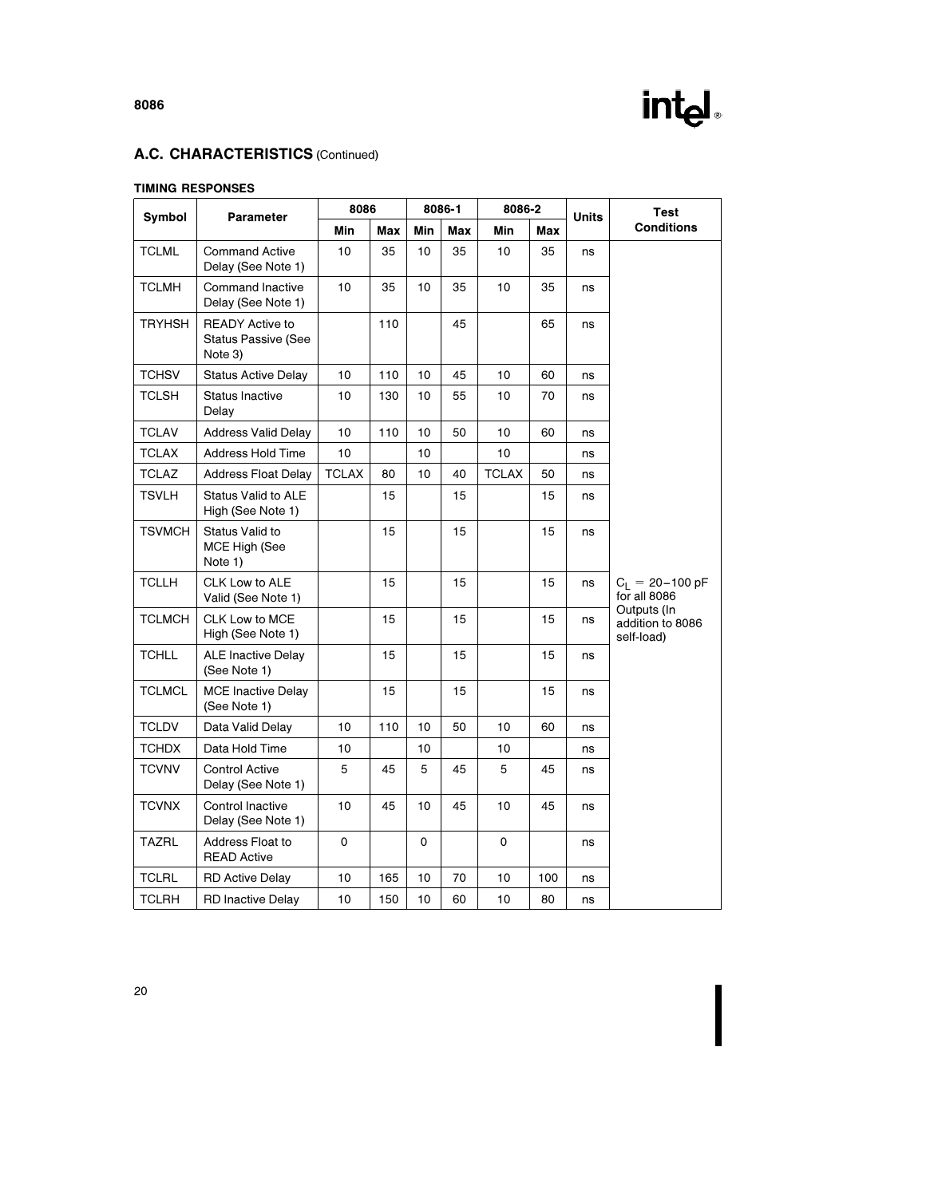

### A.C. CHARACTERISTICS (Continued)

#### TIMING RESPONSES

| Symbol        | Parameter                                                       |              | 8086<br>8086-1 |     | 8086-2 |              | <b>Units</b> | Test |                                               |  |
|---------------|-----------------------------------------------------------------|--------------|----------------|-----|--------|--------------|--------------|------|-----------------------------------------------|--|
|               |                                                                 | Min          | Max            | Min | Max    | Min          | Max          |      | <b>Conditions</b>                             |  |
| <b>TCLML</b>  | <b>Command Active</b><br>Delay (See Note 1)                     | 10           | 35             | 10  | 35     | 10           | 35           | ns   |                                               |  |
| <b>TCLMH</b>  | <b>Command Inactive</b><br>Delay (See Note 1)                   | 10           | 35             | 10  | 35     | 10           | 35           | ns   |                                               |  |
| <b>TRYHSH</b> | <b>READY Active to</b><br><b>Status Passive (See</b><br>Note 3) |              | 110            |     | 45     |              | 65           | ns   |                                               |  |
| <b>TCHSV</b>  | <b>Status Active Delay</b>                                      | 10           | 110            | 10  | 45     | 10           | 60           | ns   |                                               |  |
| <b>TCLSH</b>  | <b>Status Inactive</b><br>Delay                                 | 10           | 130            | 10  | 55     | 10           | 70           | ns   |                                               |  |
| <b>TCLAV</b>  | <b>Address Valid Delay</b>                                      | 10           | 110            | 10  | 50     | 10           | 60           | ns   |                                               |  |
| <b>TCLAX</b>  | <b>Address Hold Time</b>                                        | 10           |                | 10  |        | 10           |              | ns   |                                               |  |
| <b>TCLAZ</b>  | <b>Address Float Delay</b>                                      | <b>TCLAX</b> | 80             | 10  | 40     | <b>TCLAX</b> | 50           | ns   |                                               |  |
| <b>TSVLH</b>  | <b>Status Valid to ALE</b><br>High (See Note 1)                 |              | 15             |     | 15     |              | 15           | ns   |                                               |  |
| <b>TSVMCH</b> | Status Valid to<br>MCE High (See<br>Note 1)                     |              | 15             |     | 15     |              | 15           | ns   |                                               |  |
| <b>TCLLH</b>  | CLK Low to ALE<br>Valid (See Note 1)                            |              | 15             |     | 15     |              | 15           | ns   | $C_L = 20 - 100 pF$<br>for all 8086           |  |
| <b>TCLMCH</b> | CLK Low to MCE<br>High (See Note 1)                             |              | 15             |     | 15     |              | 15           | ns   | Outputs (In<br>addition to 8086<br>self-load) |  |
| <b>TCHLL</b>  | <b>ALE Inactive Delay</b><br>(See Note 1)                       |              | 15             |     | 15     |              | 15           | ns   |                                               |  |
| <b>TCLMCL</b> | <b>MCE Inactive Delay</b><br>(See Note 1)                       |              | 15             |     | 15     |              | 15           | ns   |                                               |  |
| <b>TCLDV</b>  | Data Valid Delay                                                | 10           | 110            | 10  | 50     | 10           | 60           | ns   |                                               |  |
| <b>TCHDX</b>  | Data Hold Time                                                  | 10           |                | 10  |        | 10           |              | ns   |                                               |  |
| <b>TCVNV</b>  | <b>Control Active</b><br>Delay (See Note 1)                     | 5            | 45             | 5   | 45     | 5            | 45           | ns   |                                               |  |
| <b>TCVNX</b>  | Control Inactive<br>Delay (See Note 1)                          | 10           | 45             | 10  | 45     | 10           | 45           | ns   |                                               |  |
| TAZRL         | Address Float to<br><b>READ Active</b>                          | 0            |                | 0   |        | 0            |              | ns   |                                               |  |
| <b>TCLRL</b>  | <b>RD Active Delay</b>                                          | 10           | 165            | 10  | 70     | 10           | 100          | ns   |                                               |  |
| <b>TCLRH</b>  | <b>RD Inactive Delay</b>                                        | 10           | 150            | 10  | 60     | 10           | 80           | ns   |                                               |  |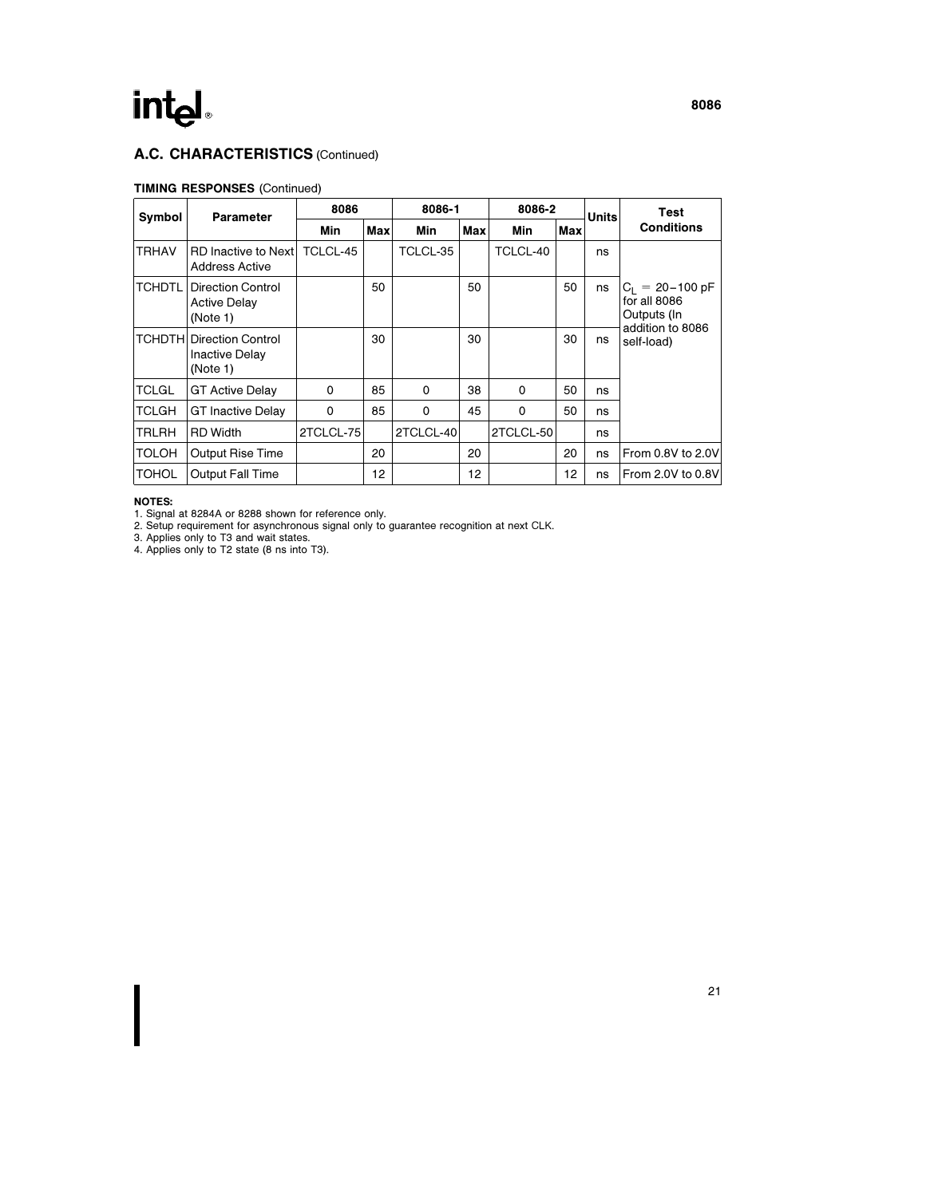## int<sub>el</sub>

### A.C. CHARACTERISTICS (Continued)

#### TIMING RESPONSES (Continued)

| Symbol        | <b>Parameter</b>                                                      | 8086      |     |           | 8086-1 |           | 8086-2     | <b>Units</b> | Test                                               |
|---------------|-----------------------------------------------------------------------|-----------|-----|-----------|--------|-----------|------------|--------------|----------------------------------------------------|
|               |                                                                       | Min       | Max | Min       | Max    | Min       | <b>Max</b> |              | <b>Conditions</b>                                  |
| <b>TRHAV</b>  | <b>RD</b> Inactive to Next<br><b>Address Active</b>                   | TCLCL-45  |     | TCLCL-35  |        | TCLCL-40  |            | ns           |                                                    |
| <b>TCHDTL</b> | <b>Direction Control</b><br><b>Active Delay</b><br>(Note 1)           |           | 50  |           | 50     |           | 50         | ns           | $C_1 = 20 - 100$ pF<br>for all 8086<br>Outputs (In |
|               | <b>TCHDTHI Direction Control</b><br><b>Inactive Delay</b><br>(Note 1) |           | 30  |           | 30     |           | 30         | ns           | addition to 8086<br>self-load)                     |
| <b>TCLGL</b>  | <b>GT Active Delay</b>                                                | $\Omega$  | 85  | $\Omega$  | 38     | $\Omega$  | 50         | ns           |                                                    |
| <b>TCLGH</b>  | <b>GT Inactive Delay</b>                                              | 0         | 85  | $\Omega$  | 45     | $\Omega$  | 50         | ns           |                                                    |
| <b>TRLRH</b>  | <b>RD</b> Width                                                       | 2TCLCL-75 |     | 2TCLCL-40 |        | 2TCLCL-50 |            | ns           |                                                    |
| <b>TOLOH</b>  | <b>Output Rise Time</b>                                               |           | 20  |           | 20     |           | 20         | ns           | From 0.8V to 2.0V                                  |
| <b>TOHOL</b>  | <b>Output Fall Time</b>                                               |           | 12  |           | 12     |           | 12         | ns           | From 2.0V to 0.8V                                  |

NOTES:

1. Signal at 8284A or 8288 shown for reference only.<br>2. Setup requirement for asynchronous signal only to guarantee recognition at next CLK.<br>3. Applies only to T3 and wait states.<br>4. Applies only to T2 state (8 ns into T3)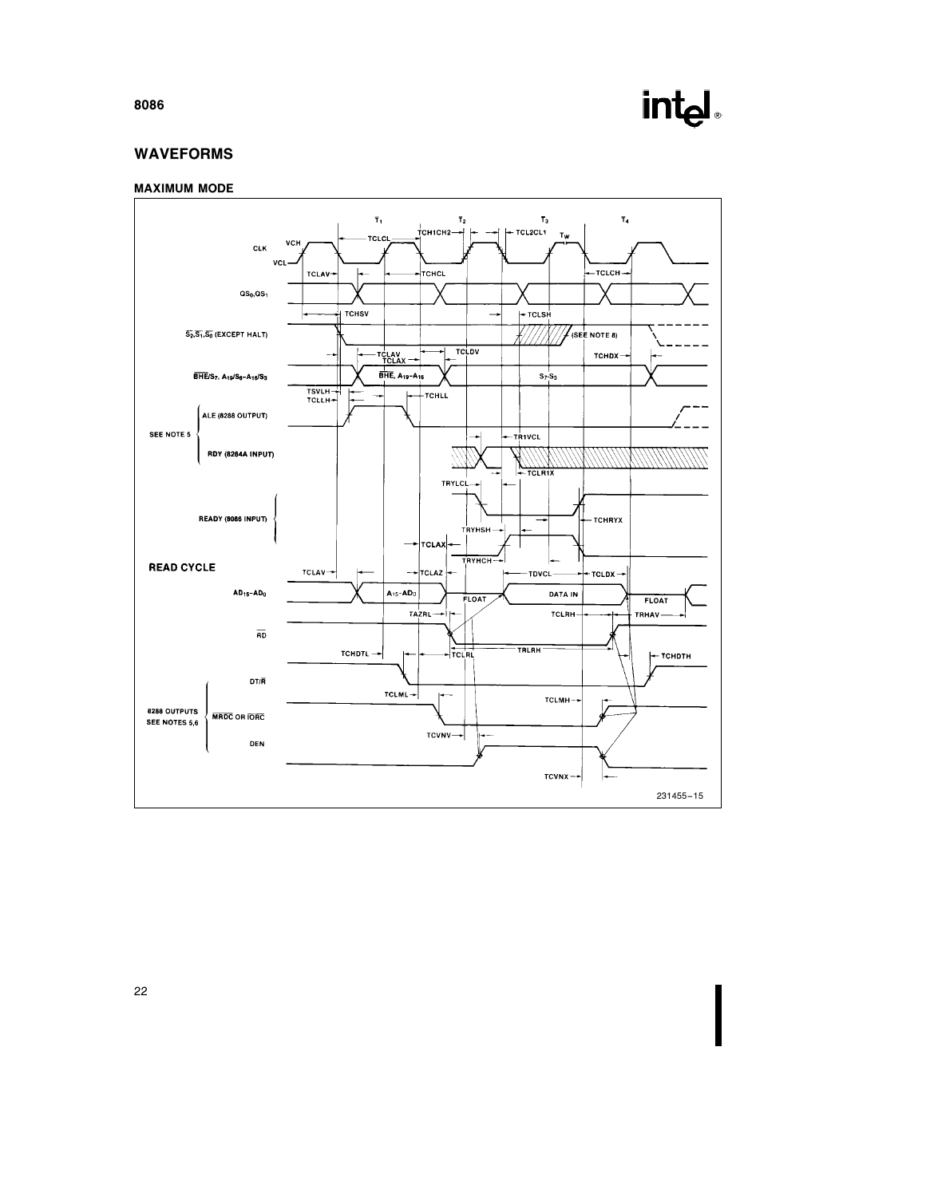## intd.

### WAVEFORMS

#### MAXIMUM MODE



8086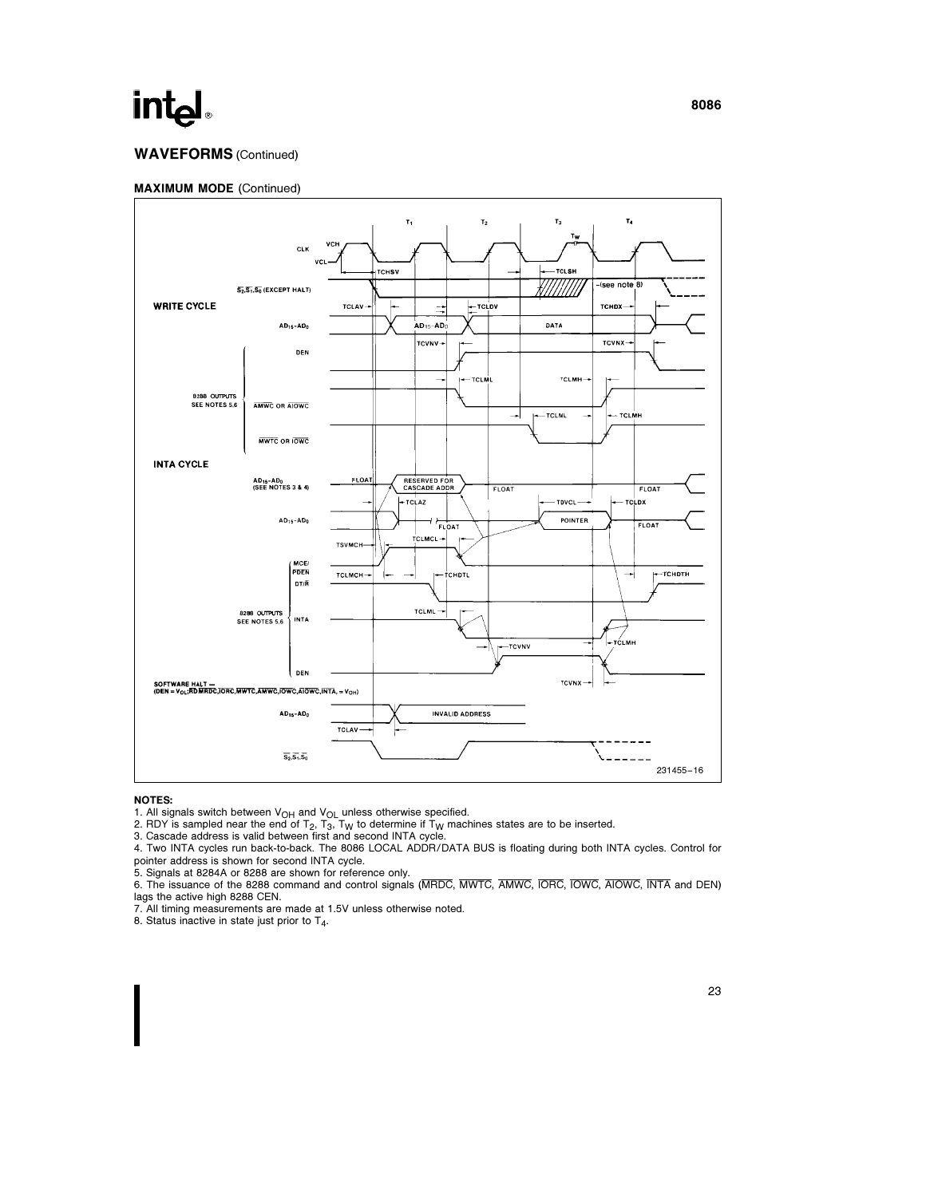### WAVEFORMS (Continued)



#### NOTES:

1. All signals switch between  $V_{OH}$  and  $V_{OL}$  unless otherwise specified.

2. RDY is sampled near the end of T<sub>2</sub>, T<sub>3</sub>, T<sub>W</sub> to determine if T<sub>W</sub> machines states are to be inserted.<br>3. Cascade address is valid between first and second INTA cycle.

4. Two INTA cycles run back-to-back. The 8086 LOCAL ADDR/DATA BUS is floating during both INTA cycles. Control for pointer address is shown for second INTA cycle.

5. Signals at 8284A or 8288 are shown for reference only.

6. The issuance of the 8288 command and control signals (MRDC, MWTC, AMWC, IORC, IOWC, AIOWC, INTA and DEN) lags the active high 8288 CEN.

7. All timing measurements are made at 1.5V unless otherwise noted.

8. Status inactive in state just prior to T4.

8086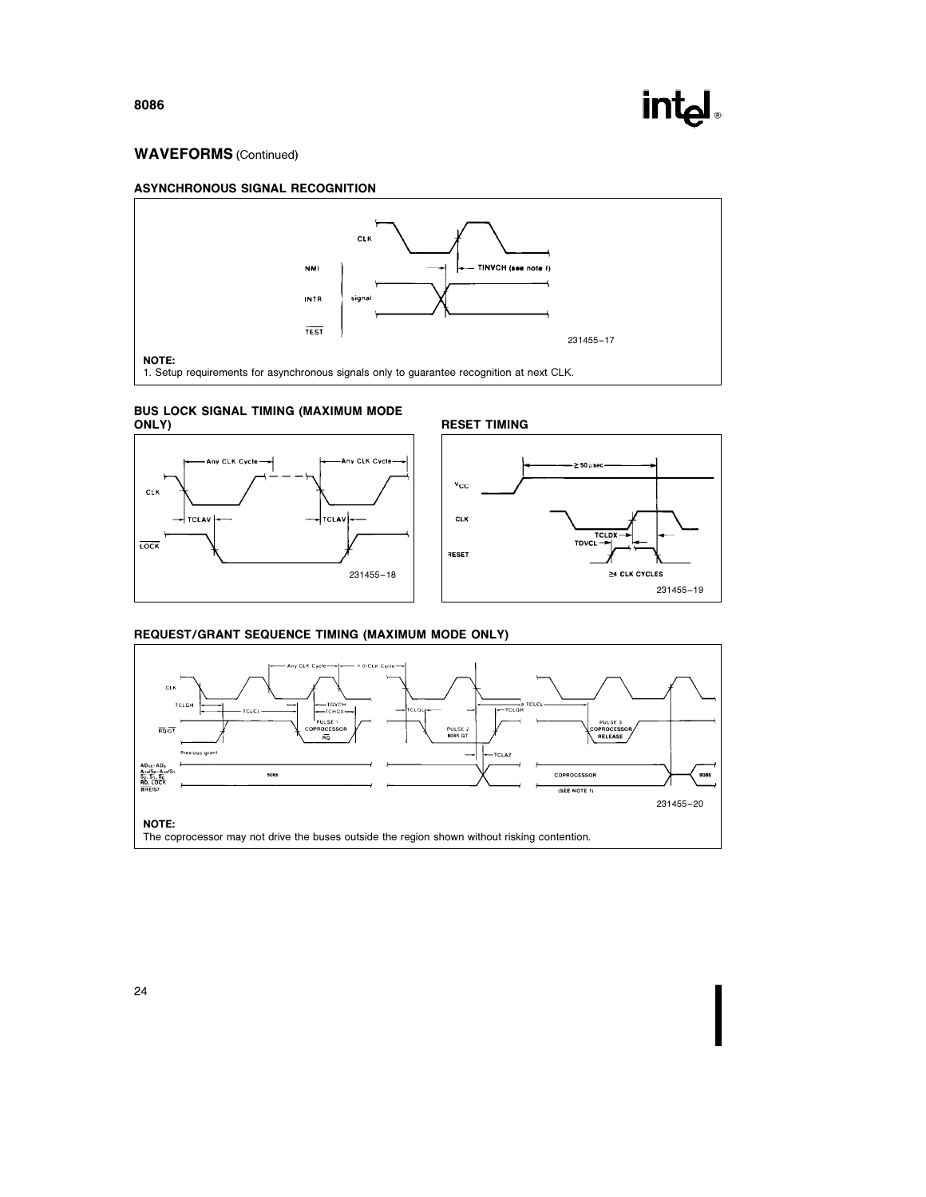

231455 –19

### WAVEFORMS (Continued)









#### REQUEST/GRANT SEQUENCE TIMING (MAXIMUM MODE ONLY)

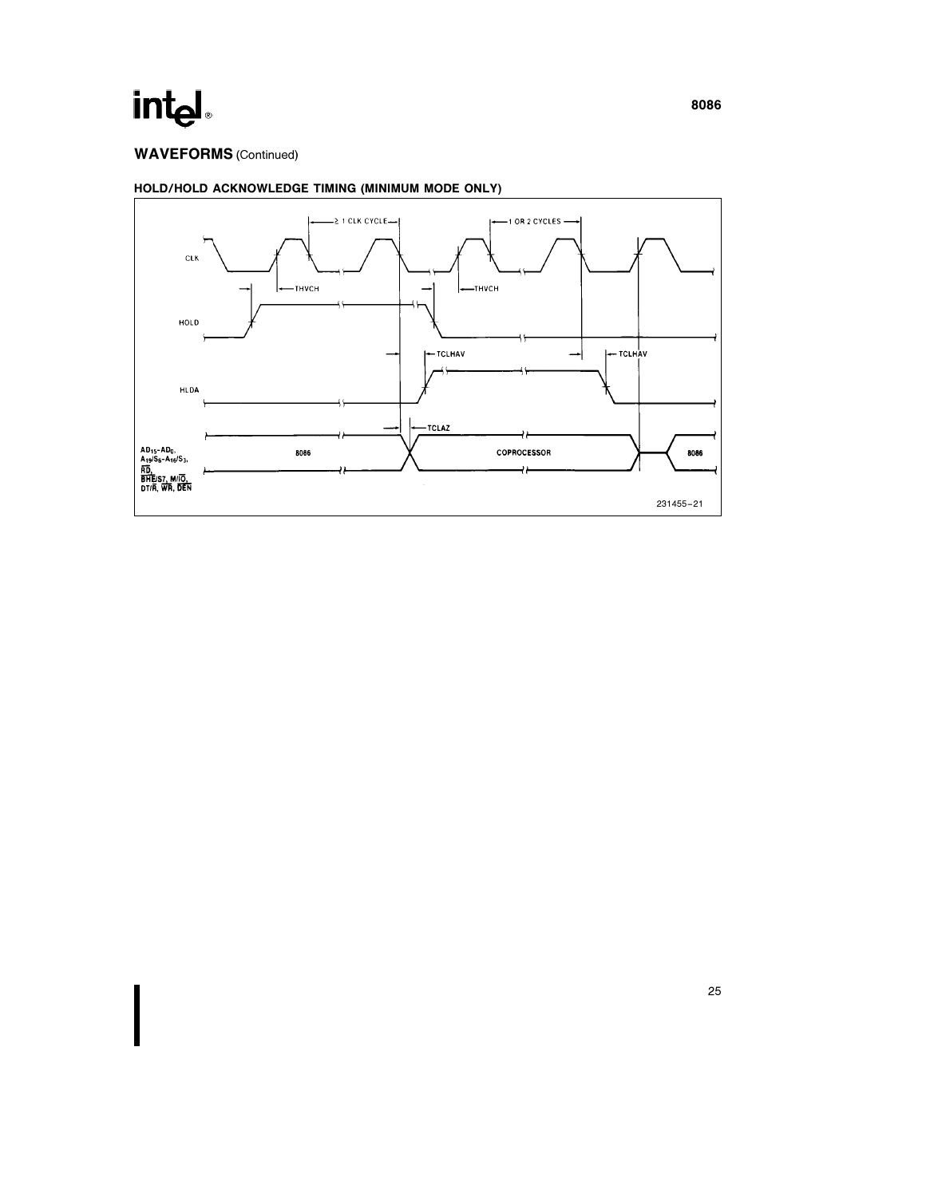### WAVEFORMS (Continued)



### HOLD/HOLD ACKNOWLEDGE TIMING (MINIMUM MODE ONLY)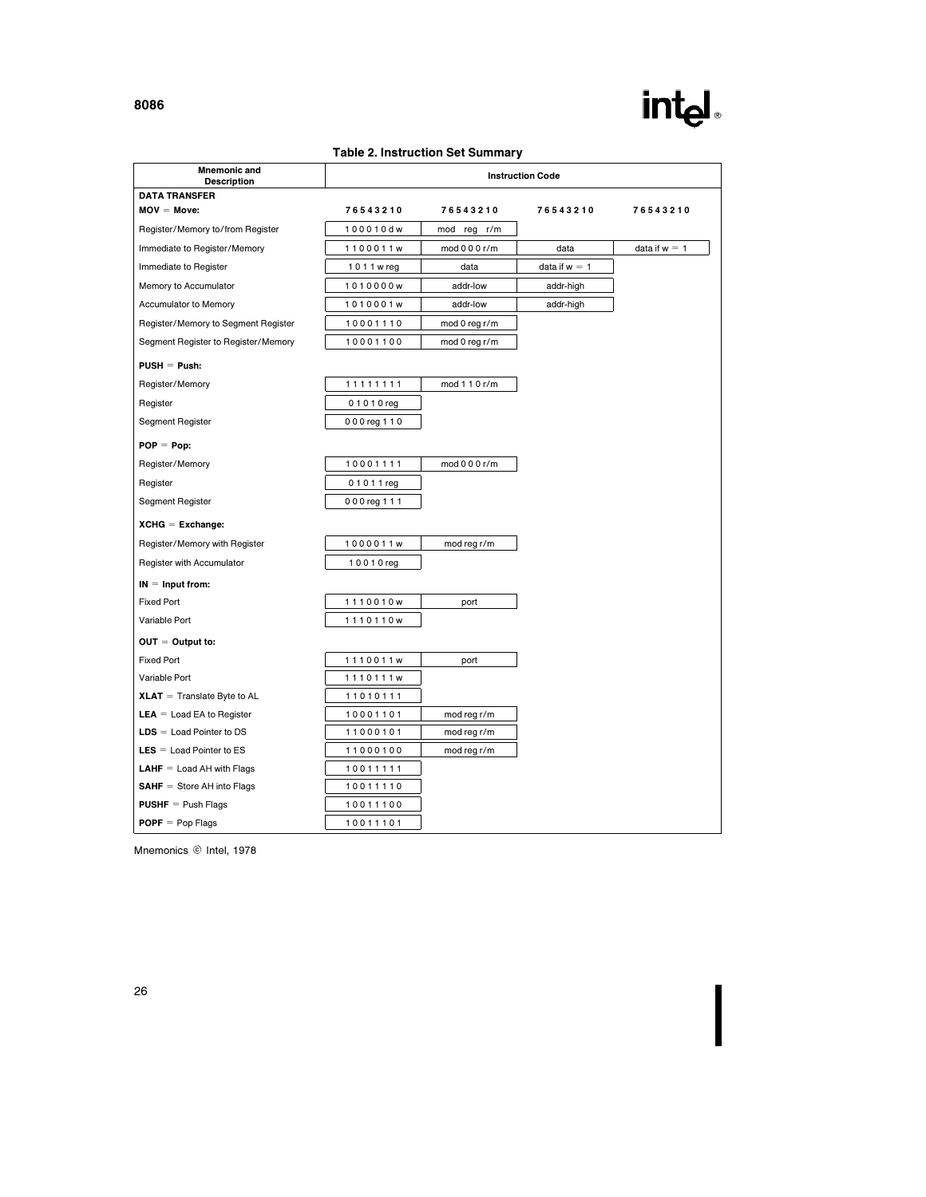### Table 2. Instruction Set Summary

| <b>Mnemonic and</b><br><b>Description</b> |               |                | <b>Instruction Code</b> |                 |
|-------------------------------------------|---------------|----------------|-------------------------|-----------------|
| <b>DATA TRANSFER</b>                      |               |                |                         |                 |
| $MOV = Move$ :                            | 76543210      | 76543210       | 76543210                | 76543210        |
| Register/Memory to/from Register          | 100010dw      | mod reg<br>r/m |                         |                 |
| Immediate to Register/Memory              | 1100011w      | mod 0 0 0 r/m  | data                    | data if $w = 1$ |
| Immediate to Register                     | 1011 w reg    | data           | data if $w = 1$         |                 |
| Memory to Accumulator                     | 1010000w      | addr-low       | addr-high               |                 |
| Accumulator to Memory                     | 1010001w      | addr-low       | addr-high               |                 |
| Register/Memory to Segment Register       | 10001110      | mod 0 reg r/m  |                         |                 |
| Segment Register to Register/Memory       | 10001100      | mod 0 reg r/m  |                         |                 |
| $PUSH = Push:$                            |               |                |                         |                 |
| Register/Memory                           | 11111111      | mod 1 1 0 r/m  |                         |                 |
| Register                                  | 01010reg      |                |                         |                 |
| Segment Register                          | 000 reg 1 1 0 |                |                         |                 |
| $POP = Pop:$                              |               |                |                         |                 |
| Register/Memory                           | 10001111      | mod 0 0 0 r/m  |                         |                 |
| Register                                  | 01011reg      |                |                         |                 |
| Segment Register                          | 000 reg 1 1 1 |                |                         |                 |
| $XCHG = Exchange$ :                       |               |                |                         |                 |
| Register/Memory with Register             | 1000011w      | mod reg r/m    |                         |                 |
| Register with Accumulator                 | 10010reg      |                |                         |                 |
| $IN = Input from:$                        |               |                |                         |                 |
| <b>Fixed Port</b>                         | 1110010w      | port           |                         |                 |
| Variable Port                             | 1110110w      |                |                         |                 |
| $OUT = Output to:$                        |               |                |                         |                 |
| <b>Fixed Port</b>                         | 1110011w      | port           |                         |                 |
| Variable Port                             | 1110111w      |                |                         |                 |
| $XLAT = Translate Byte to AL$             | 11010111      |                |                         |                 |
| <b>LEA</b> = Load EA to Register          | 10001101      | mod reg r/m    |                         |                 |
| $LDS =$ Load Pointer to DS                | 11000101      | mod reg r/m    |                         |                 |
| $LES = Load$ Pointer to ES                | 11000100      | mod reg r/m    |                         |                 |
| <b>LAHF</b> $=$ Load AH with Flags        | 10011111      |                |                         |                 |
| $SAHF = Store AH into Flags$              | 10011110      |                |                         |                 |
| <b>PUSHF</b> $=$ Push Flags               | 10011100      |                |                         |                 |
| $POPF = Pop Flags$                        | 10011101      |                |                         |                 |

Mnemonics © Intel, 1978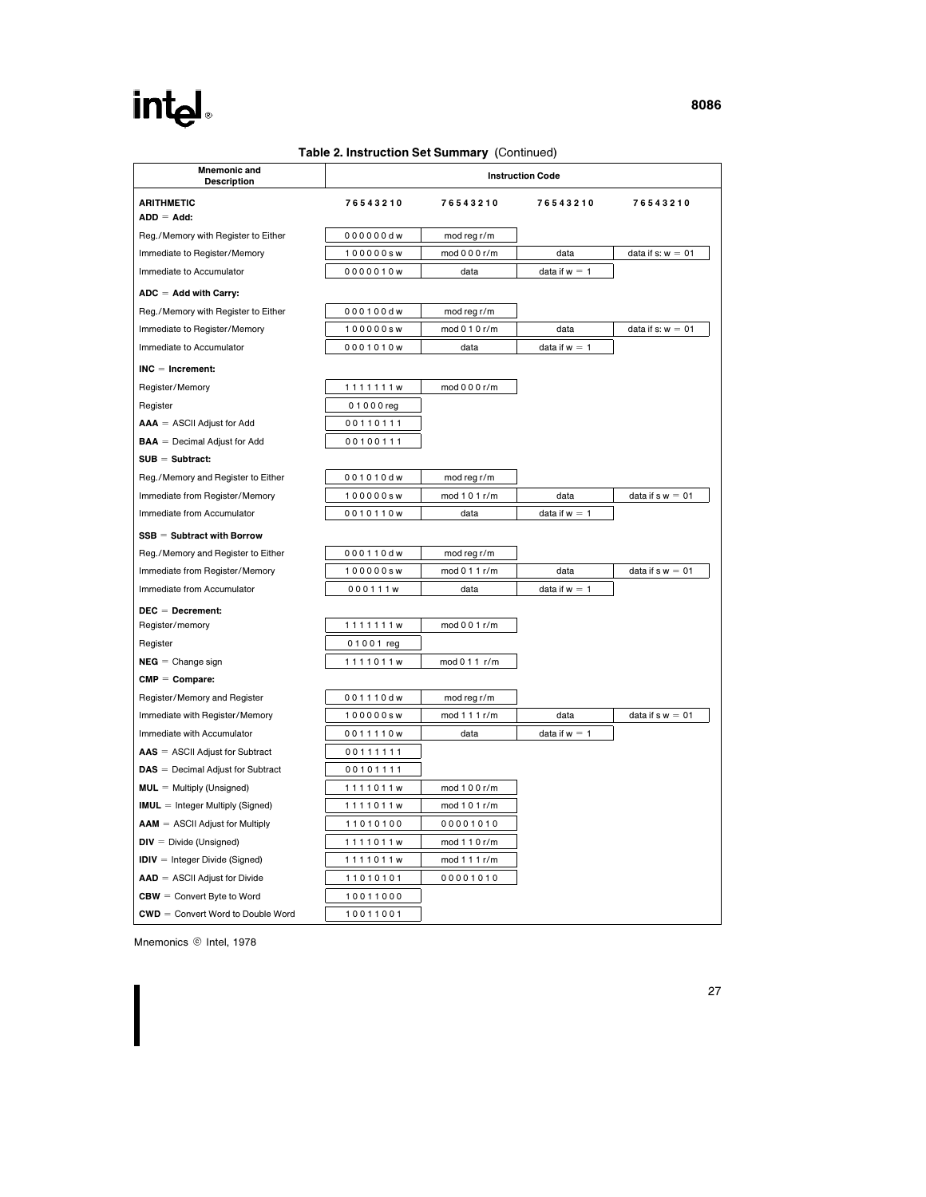#### Table 2. Instruction Set Summary (Continued)

| <b>Mnemonic and</b><br><b>Description</b>                             |           |               | <b>Instruction Code</b> |                     |
|-----------------------------------------------------------------------|-----------|---------------|-------------------------|---------------------|
| <b>ARITHMETIC</b>                                                     | 76543210  | 76543210      | 76543210                | 76543210            |
| $ADD = Add:$                                                          |           |               |                         |                     |
| Reg./Memory with Register to Either                                   | 000000dw  | mod reg r/m   |                         |                     |
| Immediate to Register/Memory                                          | 100000sw  | mod 0 0 0 r/m | data                    | data if $s: w = 01$ |
| Immediate to Accumulator                                              | 0000010w  | data          | data if $w = 1$         |                     |
| $ADC = Add with Carry:$                                               |           |               |                         |                     |
| Reg./Memory with Register to Either                                   | 000100dw  | mod reg r/m   |                         |                     |
| Immediate to Register/Memory                                          | 100000sw  | mod 0 1 0 r/m | data                    | data if $s: w = 01$ |
| Immediate to Accumulator                                              | 0001010w  | data          | data if $w = 1$         |                     |
| $INC = Increment:$                                                    |           |               |                         |                     |
| Register/Memory                                                       | 1111111w  | mod 0 0 0 r/m |                         |                     |
| Register                                                              | 01000 reg |               |                         |                     |
| $AAA = ASCII$ Adjust for Add                                          | 00110111  |               |                         |                     |
| $\mathbf{B} \mathbf{A} \mathbf{A} = \mathbf{D}$ ecimal Adjust for Add | 00100111  |               |                         |                     |
| $SUB = Subtract:$                                                     |           |               |                         |                     |
| Reg./Memory and Register to Either                                    | 001010dw  | mod reg r/m   |                         |                     |
| Immediate from Register/Memory                                        | 100000sw  | mod 1 0 1 r/m | data                    | data if $s w = 01$  |
| Immediate from Accumulator                                            | 0010110w  | data          | data if $w = 1$         |                     |
| $SSB = Subtract with Borrow$                                          |           |               |                         |                     |
| Reg./Memory and Register to Either                                    | 000110dw  | mod reg r/m   |                         |                     |
| Immediate from Register/Memory                                        | 100000sw  | mod 0 1 1 r/m | data                    | data if $s w = 01$  |
| Immediate from Accumulator                                            | 000111w   | data          | data if $w = 1$         |                     |
| $DEC = Decrement:$                                                    |           |               |                         |                     |
| Register/memory                                                       | 1111111w  | mod 001 r/m   |                         |                     |
| Register                                                              | 01001 reg |               |                         |                     |
| $NEG = Change sign$                                                   | 1111011w  | mod 0 1 1 r/m |                         |                     |
| $CMP = Compare:$                                                      |           |               |                         |                     |
| Register/Memory and Register                                          | 001110dw  | mod reg r/m   |                         |                     |
| Immediate with Register/Memory                                        | 100000sw  | mod 1 1 1 r/m | data                    | data if $s w = 01$  |
| Immediate with Accumulator                                            | 0011110w  | data          | data if $w = 1$         |                     |
| $\mathbf{AAS} = \mathbf{ASCH}$ Adjust for Subtract                    | 00111111  |               |                         |                     |
| $\text{DAS} = \text{Decimal Adjust for Subtract}$                     | 00101111  |               |                         |                     |
| $MUL =$ Multiply (Unsigned)                                           | 1111011w  | mod 1 0 0 r/m |                         |                     |
| <b>IMUL</b> = Integer Multiply (Signed)                               | 1111011w  | mod 1 0 1 r/m |                         |                     |
| $AAM = ASCII$ Adjust for Multiply                                     | 11010100  | 00001010      |                         |                     |
| $DIV = Divide (Unsigned)$                                             | 1111011w  | mod 1 1 0 r/m |                         |                     |
| $IDIV = Integer Divide (Signed)$                                      | 1111011w  | mod 111r/m    |                         |                     |
| $AAD = ASCII$ Adjust for Divide                                       | 11010101  | 00001010      |                         |                     |
| $CBW =$ Convert Byte to Word                                          | 10011000  |               |                         |                     |
| $CWD =$ Convert Word to Double Word                                   | 10011001  |               |                         |                     |

Mnemonics © Intel, 1978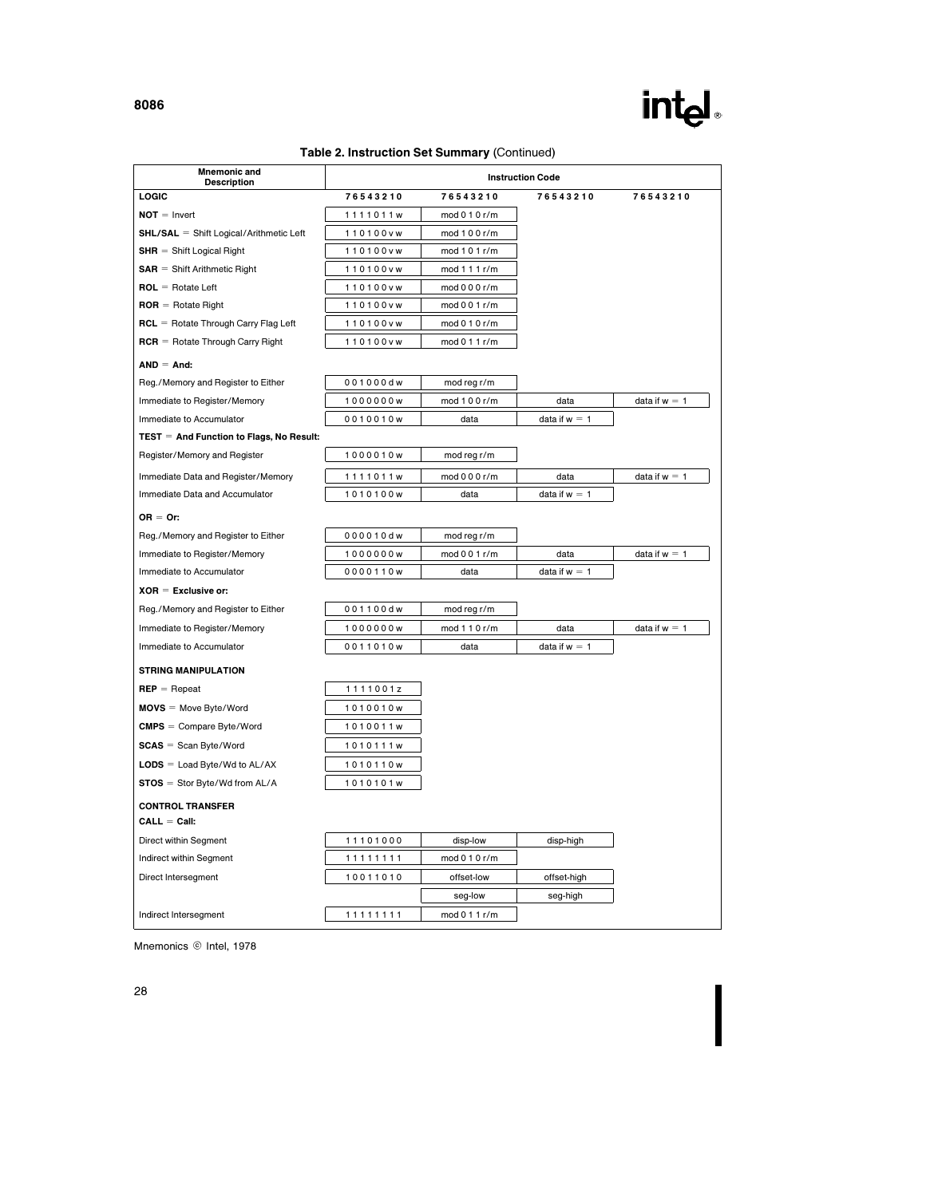### Table 2. Instruction Set Summary (Continued)

| LOGIC<br>76543210<br>76543210<br>76543210<br>76543210<br>$NOT = Invert$<br>1111011w<br>mod 0 1 0 r/m<br><b>SHL/SAL</b> = Shift Logical/Arithmetic Left<br>110100vw<br>mod 1 0 0 r/m<br>$SHR = Shift$ Logical Right<br>mod 1 0 1 r/m<br>110100vw<br>$SAR = Shift Arithmetic Right$<br>110100vw<br>mod 1 1 1 r/m<br>$ROL = Rotate Left$<br>110100vw<br>mod 0 0 0 r/m<br>$\text{ROR} = \text{Rotate Right}$<br>110100vw<br>mod 0 0 1 r/m<br>$RCL =$ Rotate Through Carry Flag Left<br>110100vw<br>mod $010r/m$<br>$RCR =$ Rotate Through Carry Right<br>110100vw<br>mod 0 1 1 r/m<br>$AND = And$ :<br>Reg./Memory and Register to Either<br>001000dw<br>mod reg r/m<br>mod 1 0 0 r/m<br>data if $w = 1$<br>Immediate to Register/Memory<br>1000000w<br>data<br>0010010w<br>data if $w = 1$<br>Immediate to Accumulator<br>data<br>$TEST = And Function to Flags, No Result:$<br>Register/Memory and Register<br>1000010w<br>mod reg r/m<br>Immediate Data and Register/Memory<br>mod 0 0 0 r/m<br>data<br>data if $w = 1$<br>1111011w<br>Immediate Data and Accumulator<br>data if $w = 1$<br>1010100w<br>data<br>$OR = Or:$<br>Reg./Memory and Register to Either<br>000010dw<br>mod reg r/m<br>Immediate to Register/Memory<br>data if $w = 1$<br>1000000w<br>mod 001 r/m<br>data<br>Immediate to Accumulator<br>0000110w<br>data if $w = 1$<br>data<br>$XOR =$ Exclusive or:<br>Reg./Memory and Register to Either<br>001100dw<br>mod reg r/m<br>mod 1 1 0 r/m<br>data if $w = 1$<br>Immediate to Register/Memory<br>1000000w<br>data<br>Immediate to Accumulator<br>0011010w<br>data<br>data if $w = 1$<br><b>STRING MANIPULATION</b><br>$REP = Rep$ eat<br>1111001z<br>$MOVS = Move Byte/Word$<br>1010010w<br>$CMPS = Compare Byte/Word$<br>1010011w<br>$SCAS = Scan$ Byte/Word<br>1010111w<br>$LODS =$ Load Byte/Wd to AL/AX<br>1010110w<br>$STOS = Stor Byte/Wd from AL/A$<br>1010101w<br><b>CONTROL TRANSFER</b><br>$CALL = Call:$<br>Direct within Segment<br>11101000<br>disp-low<br>disp-high<br>Indirect within Segment<br>mod 0 1 0 r/m<br>11111111<br>10011010<br>offset-low<br>Direct Intersegment<br>offset-high<br>seg-low<br>seg-high<br>11111111<br>mod 0 1 1 r/m<br>Indirect Intersegment | <b>Mnemonic and</b><br><b>Description</b> | <b>Instruction Code</b> |  |  |  |  |  |  |  |
|------------------------------------------------------------------------------------------------------------------------------------------------------------------------------------------------------------------------------------------------------------------------------------------------------------------------------------------------------------------------------------------------------------------------------------------------------------------------------------------------------------------------------------------------------------------------------------------------------------------------------------------------------------------------------------------------------------------------------------------------------------------------------------------------------------------------------------------------------------------------------------------------------------------------------------------------------------------------------------------------------------------------------------------------------------------------------------------------------------------------------------------------------------------------------------------------------------------------------------------------------------------------------------------------------------------------------------------------------------------------------------------------------------------------------------------------------------------------------------------------------------------------------------------------------------------------------------------------------------------------------------------------------------------------------------------------------------------------------------------------------------------------------------------------------------------------------------------------------------------------------------------------------------------------------------------------------------------------------------------------------------------------------------------------------------------------------------------------------------------------------------------------------------------------------------------------------------|-------------------------------------------|-------------------------|--|--|--|--|--|--|--|
|                                                                                                                                                                                                                                                                                                                                                                                                                                                                                                                                                                                                                                                                                                                                                                                                                                                                                                                                                                                                                                                                                                                                                                                                                                                                                                                                                                                                                                                                                                                                                                                                                                                                                                                                                                                                                                                                                                                                                                                                                                                                                                                                                                                                            |                                           |                         |  |  |  |  |  |  |  |
|                                                                                                                                                                                                                                                                                                                                                                                                                                                                                                                                                                                                                                                                                                                                                                                                                                                                                                                                                                                                                                                                                                                                                                                                                                                                                                                                                                                                                                                                                                                                                                                                                                                                                                                                                                                                                                                                                                                                                                                                                                                                                                                                                                                                            |                                           |                         |  |  |  |  |  |  |  |
|                                                                                                                                                                                                                                                                                                                                                                                                                                                                                                                                                                                                                                                                                                                                                                                                                                                                                                                                                                                                                                                                                                                                                                                                                                                                                                                                                                                                                                                                                                                                                                                                                                                                                                                                                                                                                                                                                                                                                                                                                                                                                                                                                                                                            |                                           |                         |  |  |  |  |  |  |  |
|                                                                                                                                                                                                                                                                                                                                                                                                                                                                                                                                                                                                                                                                                                                                                                                                                                                                                                                                                                                                                                                                                                                                                                                                                                                                                                                                                                                                                                                                                                                                                                                                                                                                                                                                                                                                                                                                                                                                                                                                                                                                                                                                                                                                            |                                           |                         |  |  |  |  |  |  |  |
|                                                                                                                                                                                                                                                                                                                                                                                                                                                                                                                                                                                                                                                                                                                                                                                                                                                                                                                                                                                                                                                                                                                                                                                                                                                                                                                                                                                                                                                                                                                                                                                                                                                                                                                                                                                                                                                                                                                                                                                                                                                                                                                                                                                                            |                                           |                         |  |  |  |  |  |  |  |
|                                                                                                                                                                                                                                                                                                                                                                                                                                                                                                                                                                                                                                                                                                                                                                                                                                                                                                                                                                                                                                                                                                                                                                                                                                                                                                                                                                                                                                                                                                                                                                                                                                                                                                                                                                                                                                                                                                                                                                                                                                                                                                                                                                                                            |                                           |                         |  |  |  |  |  |  |  |
|                                                                                                                                                                                                                                                                                                                                                                                                                                                                                                                                                                                                                                                                                                                                                                                                                                                                                                                                                                                                                                                                                                                                                                                                                                                                                                                                                                                                                                                                                                                                                                                                                                                                                                                                                                                                                                                                                                                                                                                                                                                                                                                                                                                                            |                                           |                         |  |  |  |  |  |  |  |
|                                                                                                                                                                                                                                                                                                                                                                                                                                                                                                                                                                                                                                                                                                                                                                                                                                                                                                                                                                                                                                                                                                                                                                                                                                                                                                                                                                                                                                                                                                                                                                                                                                                                                                                                                                                                                                                                                                                                                                                                                                                                                                                                                                                                            |                                           |                         |  |  |  |  |  |  |  |
|                                                                                                                                                                                                                                                                                                                                                                                                                                                                                                                                                                                                                                                                                                                                                                                                                                                                                                                                                                                                                                                                                                                                                                                                                                                                                                                                                                                                                                                                                                                                                                                                                                                                                                                                                                                                                                                                                                                                                                                                                                                                                                                                                                                                            |                                           |                         |  |  |  |  |  |  |  |
|                                                                                                                                                                                                                                                                                                                                                                                                                                                                                                                                                                                                                                                                                                                                                                                                                                                                                                                                                                                                                                                                                                                                                                                                                                                                                                                                                                                                                                                                                                                                                                                                                                                                                                                                                                                                                                                                                                                                                                                                                                                                                                                                                                                                            |                                           |                         |  |  |  |  |  |  |  |
|                                                                                                                                                                                                                                                                                                                                                                                                                                                                                                                                                                                                                                                                                                                                                                                                                                                                                                                                                                                                                                                                                                                                                                                                                                                                                                                                                                                                                                                                                                                                                                                                                                                                                                                                                                                                                                                                                                                                                                                                                                                                                                                                                                                                            |                                           |                         |  |  |  |  |  |  |  |
|                                                                                                                                                                                                                                                                                                                                                                                                                                                                                                                                                                                                                                                                                                                                                                                                                                                                                                                                                                                                                                                                                                                                                                                                                                                                                                                                                                                                                                                                                                                                                                                                                                                                                                                                                                                                                                                                                                                                                                                                                                                                                                                                                                                                            |                                           |                         |  |  |  |  |  |  |  |
|                                                                                                                                                                                                                                                                                                                                                                                                                                                                                                                                                                                                                                                                                                                                                                                                                                                                                                                                                                                                                                                                                                                                                                                                                                                                                                                                                                                                                                                                                                                                                                                                                                                                                                                                                                                                                                                                                                                                                                                                                                                                                                                                                                                                            |                                           |                         |  |  |  |  |  |  |  |
|                                                                                                                                                                                                                                                                                                                                                                                                                                                                                                                                                                                                                                                                                                                                                                                                                                                                                                                                                                                                                                                                                                                                                                                                                                                                                                                                                                                                                                                                                                                                                                                                                                                                                                                                                                                                                                                                                                                                                                                                                                                                                                                                                                                                            |                                           |                         |  |  |  |  |  |  |  |
|                                                                                                                                                                                                                                                                                                                                                                                                                                                                                                                                                                                                                                                                                                                                                                                                                                                                                                                                                                                                                                                                                                                                                                                                                                                                                                                                                                                                                                                                                                                                                                                                                                                                                                                                                                                                                                                                                                                                                                                                                                                                                                                                                                                                            |                                           |                         |  |  |  |  |  |  |  |
|                                                                                                                                                                                                                                                                                                                                                                                                                                                                                                                                                                                                                                                                                                                                                                                                                                                                                                                                                                                                                                                                                                                                                                                                                                                                                                                                                                                                                                                                                                                                                                                                                                                                                                                                                                                                                                                                                                                                                                                                                                                                                                                                                                                                            |                                           |                         |  |  |  |  |  |  |  |
|                                                                                                                                                                                                                                                                                                                                                                                                                                                                                                                                                                                                                                                                                                                                                                                                                                                                                                                                                                                                                                                                                                                                                                                                                                                                                                                                                                                                                                                                                                                                                                                                                                                                                                                                                                                                                                                                                                                                                                                                                                                                                                                                                                                                            |                                           |                         |  |  |  |  |  |  |  |
|                                                                                                                                                                                                                                                                                                                                                                                                                                                                                                                                                                                                                                                                                                                                                                                                                                                                                                                                                                                                                                                                                                                                                                                                                                                                                                                                                                                                                                                                                                                                                                                                                                                                                                                                                                                                                                                                                                                                                                                                                                                                                                                                                                                                            |                                           |                         |  |  |  |  |  |  |  |
|                                                                                                                                                                                                                                                                                                                                                                                                                                                                                                                                                                                                                                                                                                                                                                                                                                                                                                                                                                                                                                                                                                                                                                                                                                                                                                                                                                                                                                                                                                                                                                                                                                                                                                                                                                                                                                                                                                                                                                                                                                                                                                                                                                                                            |                                           |                         |  |  |  |  |  |  |  |
|                                                                                                                                                                                                                                                                                                                                                                                                                                                                                                                                                                                                                                                                                                                                                                                                                                                                                                                                                                                                                                                                                                                                                                                                                                                                                                                                                                                                                                                                                                                                                                                                                                                                                                                                                                                                                                                                                                                                                                                                                                                                                                                                                                                                            |                                           |                         |  |  |  |  |  |  |  |
|                                                                                                                                                                                                                                                                                                                                                                                                                                                                                                                                                                                                                                                                                                                                                                                                                                                                                                                                                                                                                                                                                                                                                                                                                                                                                                                                                                                                                                                                                                                                                                                                                                                                                                                                                                                                                                                                                                                                                                                                                                                                                                                                                                                                            |                                           |                         |  |  |  |  |  |  |  |
|                                                                                                                                                                                                                                                                                                                                                                                                                                                                                                                                                                                                                                                                                                                                                                                                                                                                                                                                                                                                                                                                                                                                                                                                                                                                                                                                                                                                                                                                                                                                                                                                                                                                                                                                                                                                                                                                                                                                                                                                                                                                                                                                                                                                            |                                           |                         |  |  |  |  |  |  |  |
|                                                                                                                                                                                                                                                                                                                                                                                                                                                                                                                                                                                                                                                                                                                                                                                                                                                                                                                                                                                                                                                                                                                                                                                                                                                                                                                                                                                                                                                                                                                                                                                                                                                                                                                                                                                                                                                                                                                                                                                                                                                                                                                                                                                                            |                                           |                         |  |  |  |  |  |  |  |
|                                                                                                                                                                                                                                                                                                                                                                                                                                                                                                                                                                                                                                                                                                                                                                                                                                                                                                                                                                                                                                                                                                                                                                                                                                                                                                                                                                                                                                                                                                                                                                                                                                                                                                                                                                                                                                                                                                                                                                                                                                                                                                                                                                                                            |                                           |                         |  |  |  |  |  |  |  |
|                                                                                                                                                                                                                                                                                                                                                                                                                                                                                                                                                                                                                                                                                                                                                                                                                                                                                                                                                                                                                                                                                                                                                                                                                                                                                                                                                                                                                                                                                                                                                                                                                                                                                                                                                                                                                                                                                                                                                                                                                                                                                                                                                                                                            |                                           |                         |  |  |  |  |  |  |  |
|                                                                                                                                                                                                                                                                                                                                                                                                                                                                                                                                                                                                                                                                                                                                                                                                                                                                                                                                                                                                                                                                                                                                                                                                                                                                                                                                                                                                                                                                                                                                                                                                                                                                                                                                                                                                                                                                                                                                                                                                                                                                                                                                                                                                            |                                           |                         |  |  |  |  |  |  |  |
|                                                                                                                                                                                                                                                                                                                                                                                                                                                                                                                                                                                                                                                                                                                                                                                                                                                                                                                                                                                                                                                                                                                                                                                                                                                                                                                                                                                                                                                                                                                                                                                                                                                                                                                                                                                                                                                                                                                                                                                                                                                                                                                                                                                                            |                                           |                         |  |  |  |  |  |  |  |
|                                                                                                                                                                                                                                                                                                                                                                                                                                                                                                                                                                                                                                                                                                                                                                                                                                                                                                                                                                                                                                                                                                                                                                                                                                                                                                                                                                                                                                                                                                                                                                                                                                                                                                                                                                                                                                                                                                                                                                                                                                                                                                                                                                                                            |                                           |                         |  |  |  |  |  |  |  |
|                                                                                                                                                                                                                                                                                                                                                                                                                                                                                                                                                                                                                                                                                                                                                                                                                                                                                                                                                                                                                                                                                                                                                                                                                                                                                                                                                                                                                                                                                                                                                                                                                                                                                                                                                                                                                                                                                                                                                                                                                                                                                                                                                                                                            |                                           |                         |  |  |  |  |  |  |  |
|                                                                                                                                                                                                                                                                                                                                                                                                                                                                                                                                                                                                                                                                                                                                                                                                                                                                                                                                                                                                                                                                                                                                                                                                                                                                                                                                                                                                                                                                                                                                                                                                                                                                                                                                                                                                                                                                                                                                                                                                                                                                                                                                                                                                            |                                           |                         |  |  |  |  |  |  |  |
|                                                                                                                                                                                                                                                                                                                                                                                                                                                                                                                                                                                                                                                                                                                                                                                                                                                                                                                                                                                                                                                                                                                                                                                                                                                                                                                                                                                                                                                                                                                                                                                                                                                                                                                                                                                                                                                                                                                                                                                                                                                                                                                                                                                                            |                                           |                         |  |  |  |  |  |  |  |
|                                                                                                                                                                                                                                                                                                                                                                                                                                                                                                                                                                                                                                                                                                                                                                                                                                                                                                                                                                                                                                                                                                                                                                                                                                                                                                                                                                                                                                                                                                                                                                                                                                                                                                                                                                                                                                                                                                                                                                                                                                                                                                                                                                                                            |                                           |                         |  |  |  |  |  |  |  |
|                                                                                                                                                                                                                                                                                                                                                                                                                                                                                                                                                                                                                                                                                                                                                                                                                                                                                                                                                                                                                                                                                                                                                                                                                                                                                                                                                                                                                                                                                                                                                                                                                                                                                                                                                                                                                                                                                                                                                                                                                                                                                                                                                                                                            |                                           |                         |  |  |  |  |  |  |  |
|                                                                                                                                                                                                                                                                                                                                                                                                                                                                                                                                                                                                                                                                                                                                                                                                                                                                                                                                                                                                                                                                                                                                                                                                                                                                                                                                                                                                                                                                                                                                                                                                                                                                                                                                                                                                                                                                                                                                                                                                                                                                                                                                                                                                            |                                           |                         |  |  |  |  |  |  |  |
|                                                                                                                                                                                                                                                                                                                                                                                                                                                                                                                                                                                                                                                                                                                                                                                                                                                                                                                                                                                                                                                                                                                                                                                                                                                                                                                                                                                                                                                                                                                                                                                                                                                                                                                                                                                                                                                                                                                                                                                                                                                                                                                                                                                                            |                                           |                         |  |  |  |  |  |  |  |
|                                                                                                                                                                                                                                                                                                                                                                                                                                                                                                                                                                                                                                                                                                                                                                                                                                                                                                                                                                                                                                                                                                                                                                                                                                                                                                                                                                                                                                                                                                                                                                                                                                                                                                                                                                                                                                                                                                                                                                                                                                                                                                                                                                                                            |                                           |                         |  |  |  |  |  |  |  |
|                                                                                                                                                                                                                                                                                                                                                                                                                                                                                                                                                                                                                                                                                                                                                                                                                                                                                                                                                                                                                                                                                                                                                                                                                                                                                                                                                                                                                                                                                                                                                                                                                                                                                                                                                                                                                                                                                                                                                                                                                                                                                                                                                                                                            |                                           |                         |  |  |  |  |  |  |  |
|                                                                                                                                                                                                                                                                                                                                                                                                                                                                                                                                                                                                                                                                                                                                                                                                                                                                                                                                                                                                                                                                                                                                                                                                                                                                                                                                                                                                                                                                                                                                                                                                                                                                                                                                                                                                                                                                                                                                                                                                                                                                                                                                                                                                            |                                           |                         |  |  |  |  |  |  |  |
|                                                                                                                                                                                                                                                                                                                                                                                                                                                                                                                                                                                                                                                                                                                                                                                                                                                                                                                                                                                                                                                                                                                                                                                                                                                                                                                                                                                                                                                                                                                                                                                                                                                                                                                                                                                                                                                                                                                                                                                                                                                                                                                                                                                                            |                                           |                         |  |  |  |  |  |  |  |

Mnemonics © Intel, 1978

28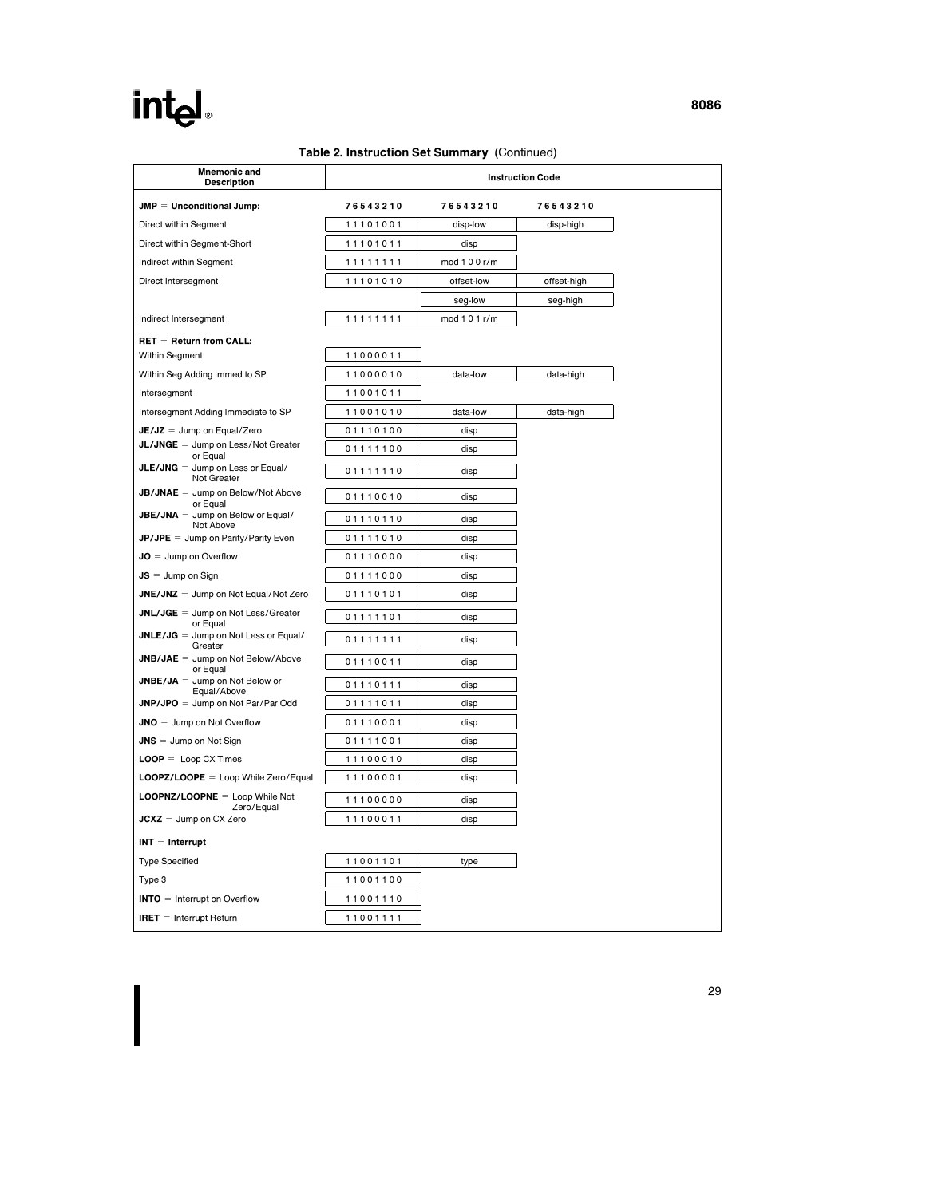### Table 2. Instruction Set Summary (Continued)

| <b>Mnemonic and</b><br><b>Description</b>             |          |               | <b>Instruction Code</b> |
|-------------------------------------------------------|----------|---------------|-------------------------|
| $JMP = Unconditional Jump$ :                          | 76543210 | 76543210      | 76543210                |
| Direct within Segment                                 | 11101001 | disp-low      | disp-high               |
| Direct within Segment-Short                           | 11101011 | disp          |                         |
| Indirect within Segment                               | 11111111 | mod 1 0 0 r/m |                         |
| Direct Intersegment                                   | 11101010 | offset-low    | offset-high             |
|                                                       |          | seg-low       | seg-high                |
| Indirect Intersegment                                 | 11111111 | mod 1 0 1 r/m |                         |
| $REF = Return from CALL:$                             |          |               |                         |
| Within Segment                                        | 11000011 |               |                         |
| Within Seg Adding Immed to SP                         | 11000010 | data-low      | data-high               |
| Intersegment                                          | 11001011 |               |                         |
| Intersegment Adding Immediate to SP                   | 11001010 | data-low      | data-high               |
| $JE/JZ = Jump$ on Equal/Zero                          | 01110100 | disp          |                         |
| JL/JNGE = Jump on Less/Not Greater<br>or Equal        | 01111100 | disp          |                         |
| $JLE/JNG = Jump$ on Less or Equal/<br>Not Greater     | 01111110 | disp          |                         |
| $JB/JNAE =$ Jump on Below/Not Above<br>or Equal       | 01110010 | disp          |                         |
| <b>JBE/JNA</b> = Jump on Below or Equal/<br>Not Above | 01110110 | disp          |                         |
| <b>JP/JPE</b> = Jump on Parity/Parity Even            | 01111010 | disp          |                         |
| $JO =$ Jump on Overflow                               | 01110000 | disp          |                         |
| $JS = Jump$ on Sign                                   | 01111000 | disp          |                         |
| $JNE/JNZ = Jump$ on Not Equal/Not Zero                | 01110101 | disp          |                         |
| $JNL/JGE = Jump$ on Not Less/Greater<br>or Equal      | 01111101 | disp          |                         |
| JNLE/JG = Jump on Not Less or Equal/<br>Greater       | 01111111 | disp          |                         |
| $JNB/JAE =$ Jump on Not Below/Above<br>or Equal       | 01110011 | disp          |                         |
| $JNEE/JA = Jump$ on Not Below or                      | 01110111 | disp          |                         |
| Equal/Above<br>$JNP/JPO = Jump on Not Par/Par Odd$    | 01111011 | disp          |                         |
| $JNO =$ Jump on Not Overflow                          | 01110001 | disp          |                         |
| $JNS =$ Jump on Not Sign                              | 01111001 | disp          |                         |
| $\text{LOOP} = \text{Loop CX Times}$                  | 11100010 | disp          |                         |
| LOOPZ/LOOPE = Loop While Zero/Equal                   | 11100001 | disp          |                         |
| LOOPNZ/LOOPNE = Loop While Not<br>Zero/Equal          | 11100000 | disp          |                         |
| $JCXZ = Jump on CX Zero$                              | 11100011 | disp          |                         |
| $INT = Internet$                                      |          |               |                         |
| <b>Type Specified</b>                                 | 11001101 | type          |                         |
| Type 3                                                | 11001100 |               |                         |
| $INTO =$ Interrupt on Overflow                        | 11001110 |               |                         |
| <b>IRET</b> $=$ Interrupt Return                      | 11001111 |               |                         |